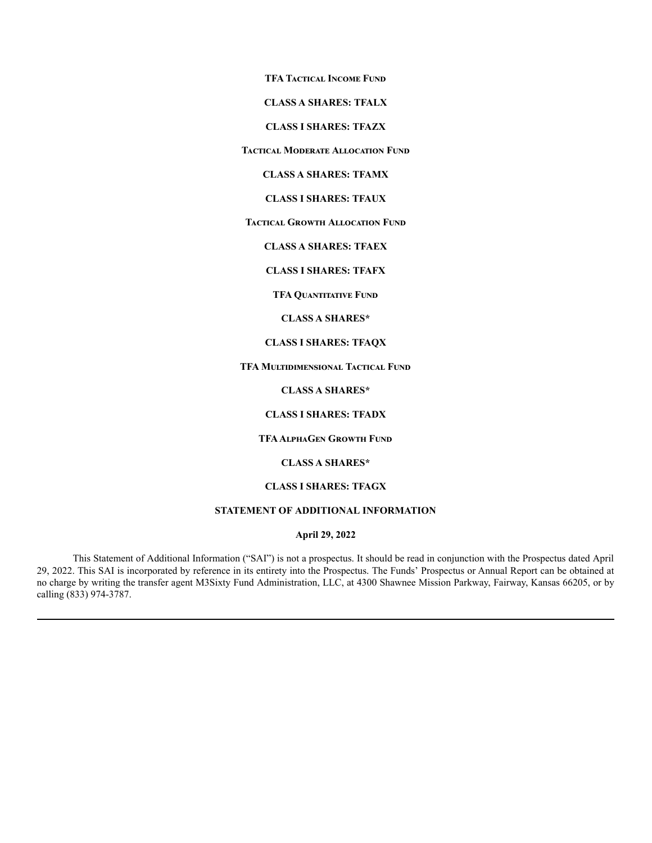**TFA Tactical Income Fund**

**CLASS A SHARES: TFALX**

**CLASS I SHARES: TFAZX**

**Tactical Moderate Allocation Fund**

**CLASS A SHARES: TFAMX**

**CLASS I SHARES: TFAUX**

**Tactical Growth Allocation Fund**

**CLASS A SHARES: TFAEX**

**CLASS I SHARES: TFAFX**

**TFA Quantitative Fund**

**CLASS A SHARES\***

### **CLASS I SHARES: TFAQX**

**TFA Multidimensional Tactical Fund**

**CLASS A SHARES\***

**CLASS I SHARES: TFADX**

**TFAAlphaGen Growth Fund**

**CLASS A SHARES\***

# **CLASS I SHARES: TFAGX**

# **STATEMENT OF ADDITIONAL INFORMATION**

**April 29, 2022**

This Statement of Additional Information ("SAI") is not a prospectus. It should be read in conjunction with the Prospectus dated April 29, 2022. This SAI is incorporated by reference in its entirety into the Prospectus. The Funds' Prospectus or Annual Report can be obtained at no charge by writing the transfer agent M3Sixty Fund Administration, LLC, at 4300 Shawnee Mission Parkway, Fairway, Kansas 66205, or by calling (833) 974-3787.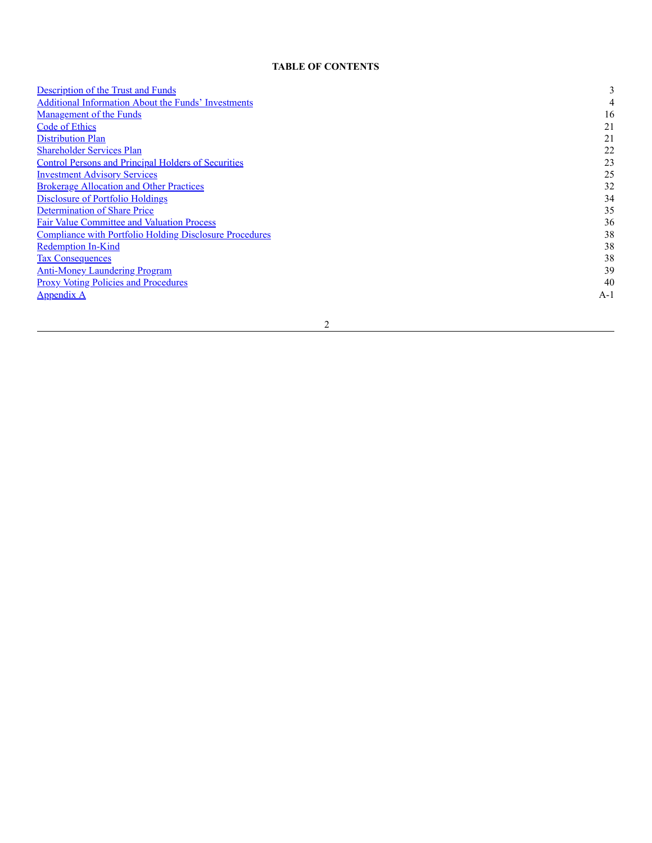### **TABLE OF CONTENTS**

| <b>Description of the Trust and Funds</b>                      | 3     |
|----------------------------------------------------------------|-------|
| <b>Additional Information About the Funds' Investments</b>     | 4     |
| <b>Management of the Funds</b>                                 | 16    |
| Code of Ethics                                                 | 21    |
| <b>Distribution Plan</b>                                       | 21    |
| <b>Shareholder Services Plan</b>                               | 22    |
| <b>Control Persons and Principal Holders of Securities</b>     | 23    |
| <b>Investment Advisory Services</b>                            | 25    |
| <b>Brokerage Allocation and Other Practices</b>                | 32    |
| Disclosure of Portfolio Holdings                               | 34    |
| Determination of Share Price                                   | 35    |
| <b>Fair Value Committee and Valuation Process</b>              | 36    |
| <b>Compliance with Portfolio Holding Disclosure Procedures</b> | 38    |
| Redemption In-Kind                                             | 38    |
| <b>Tax Consequences</b>                                        | 38    |
| <b>Anti-Money Laundering Program</b>                           | 39    |
| <b>Proxy Voting Policies and Procedures</b>                    | 40    |
| <b>Appendix A</b>                                              | $A-1$ |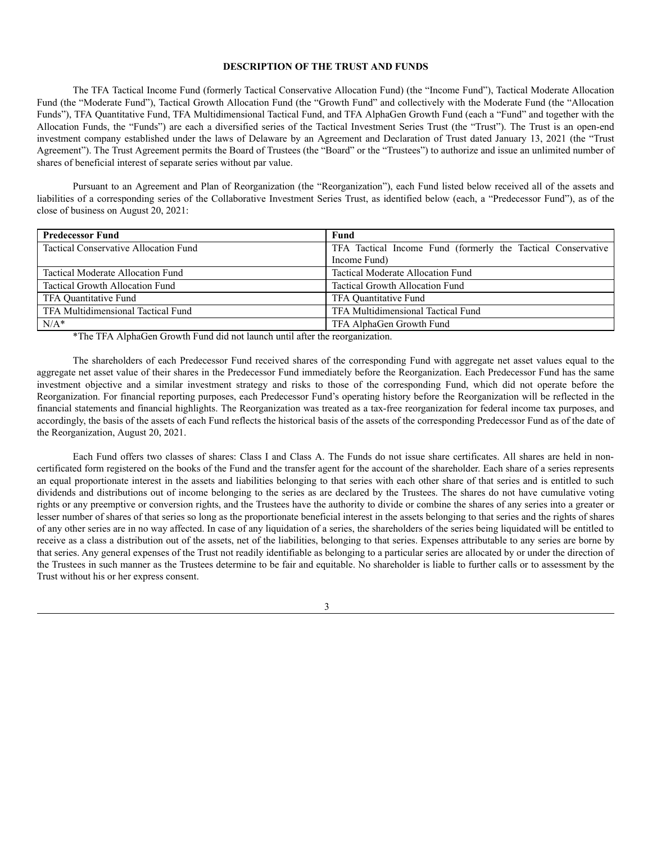## **DESCRIPTION OF THE TRUST AND FUNDS**

<span id="page-2-0"></span>The TFA Tactical Income Fund (formerly Tactical Conservative Allocation Fund) (the "Income Fund"), Tactical Moderate Allocation Fund (the "Moderate Fund"), Tactical Growth Allocation Fund (the "Growth Fund" and collectively with the Moderate Fund (the "Allocation Funds"), TFA Quantitative Fund, TFA Multidimensional Tactical Fund, and TFA AlphaGen Growth Fund (each a "Fund" and together with the Allocation Funds, the "Funds") are each a diversified series of the Tactical Investment Series Trust (the "Trust"). The Trust is an open-end investment company established under the laws of Delaware by an Agreement and Declaration of Trust dated January 13, 2021 (the "Trust Agreement"). The Trust Agreement permits the Board of Trustees (the "Board" or the "Trustees") to authorize and issue an unlimited number of shares of beneficial interest of separate series without par value.

Pursuant to an Agreement and Plan of Reorganization (the "Reorganization"), each Fund listed below received all of the assets and liabilities of a corresponding series of the Collaborative Investment Series Trust, as identified below (each, a "Predecessor Fund"), as of the close of business on August 20, 2021:

| <b>Predecessor Fund</b>               | Fund                                                         |
|---------------------------------------|--------------------------------------------------------------|
| Tactical Conservative Allocation Fund | TFA Tactical Income Fund (formerly the Tactical Conservative |
|                                       | Income Fund)                                                 |
| Tactical Moderate Allocation Fund     | Tactical Moderate Allocation Fund                            |
| Tactical Growth Allocation Fund       | Tactical Growth Allocation Fund                              |
| TFA Quantitative Fund                 | TFA Quantitative Fund                                        |
| TFA Multidimensional Tactical Fund    | TFA Multidimensional Tactical Fund                           |
| $N/A^*$                               | TFA AlphaGen Growth Fund                                     |

\*The TFA AlphaGen Growth Fund did not launch until after the reorganization.

The shareholders of each Predecessor Fund received shares of the corresponding Fund with aggregate net asset values equal to the aggregate net asset value of their shares in the Predecessor Fund immediately before the Reorganization. Each Predecessor Fund has the same investment objective and a similar investment strategy and risks to those of the corresponding Fund, which did not operate before the Reorganization. For financial reporting purposes, each Predecessor Fund's operating history before the Reorganization will be reflected in the financial statements and financial highlights. The Reorganization was treated as a tax-free reorganization for federal income tax purposes, and accordingly, the basis of the assets of each Fund reflects the historical basis of the assets of the corresponding Predecessor Fund as of the date of the Reorganization, August 20, 2021.

Each Fund offers two classes of shares: Class I and Class A. The Funds do not issue share certificates. All shares are held in noncertificated form registered on the books of the Fund and the transfer agent for the account of the shareholder. Each share of a series represents an equal proportionate interest in the assets and liabilities belonging to that series with each other share of that series and is entitled to such dividends and distributions out of income belonging to the series as are declared by the Trustees. The shares do not have cumulative voting rights or any preemptive or conversion rights, and the Trustees have the authority to divide or combine the shares of any series into a greater or lesser number of shares of that series so long as the proportionate beneficial interest in the assets belonging to that series and the rights of shares of any other series are in no way affected. In case of any liquidation of a series, the shareholders of the series being liquidated will be entitled to receive as a class a distribution out of the assets, net of the liabilities, belonging to that series. Expenses attributable to any series are borne by that series. Any general expenses of the Trust not readily identifiable as belonging to a particular series are allocated by or under the direction of the Trustees in such manner as the Trustees determine to be fair and equitable. No shareholder is liable to further calls or to assessment by the Trust without his or her express consent.

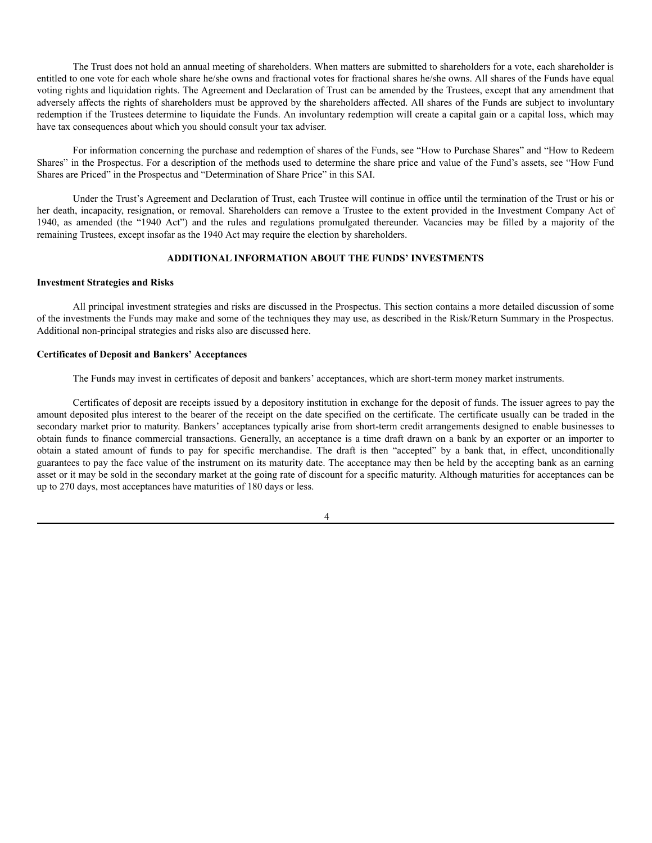The Trust does not hold an annual meeting of shareholders. When matters are submitted to shareholders for a vote, each shareholder is entitled to one vote for each whole share he/she owns and fractional votes for fractional shares he/she owns. All shares of the Funds have equal voting rights and liquidation rights. The Agreement and Declaration of Trust can be amended by the Trustees, except that any amendment that adversely affects the rights of shareholders must be approved by the shareholders affected. All shares of the Funds are subject to involuntary redemption if the Trustees determine to liquidate the Funds. An involuntary redemption will create a capital gain or a capital loss, which may have tax consequences about which you should consult your tax adviser.

For information concerning the purchase and redemption of shares of the Funds, see "How to Purchase Shares" and "How to Redeem Shares" in the Prospectus. For a description of the methods used to determine the share price and value of the Fund's assets, see "How Fund Shares are Priced" in the Prospectus and "Determination of Share Price" in this SAI.

Under the Trust's Agreement and Declaration of Trust, each Trustee will continue in office until the termination of the Trust or his or her death, incapacity, resignation, or removal. Shareholders can remove a Trustee to the extent provided in the Investment Company Act of 1940, as amended (the "1940 Act") and the rules and regulations promulgated thereunder. Vacancies may be filled by a majority of the remaining Trustees, except insofar as the 1940 Act may require the election by shareholders.

### **ADDITIONAL INFORMATION ABOUT THE FUNDS' INVESTMENTS**

### <span id="page-3-0"></span>**Investment Strategies and Risks**

All principal investment strategies and risks are discussed in the Prospectus. This section contains a more detailed discussion of some of the investments the Funds may make and some of the techniques they may use, as described in the Risk/Return Summary in the Prospectus. Additional non-principal strategies and risks also are discussed here.

### **Certificates of Deposit and Bankers' Acceptances**

The Funds may invest in certificates of deposit and bankers' acceptances, which are short-term money market instruments.

Certificates of deposit are receipts issued by a depository institution in exchange for the deposit of funds. The issuer agrees to pay the amount deposited plus interest to the bearer of the receipt on the date specified on the certificate. The certificate usually can be traded in the secondary market prior to maturity. Bankers' acceptances typically arise from short-term credit arrangements designed to enable businesses to obtain funds to finance commercial transactions. Generally, an acceptance is a time draft drawn on a bank by an exporter or an importer to obtain a stated amount of funds to pay for specific merchandise. The draft is then "accepted" by a bank that, in effect, unconditionally guarantees to pay the face value of the instrument on its maturity date. The acceptance may then be held by the accepting bank as an earning asset or it may be sold in the secondary market at the going rate of discount for a specific maturity. Although maturities for acceptances can be up to 270 days, most acceptances have maturities of 180 days or less.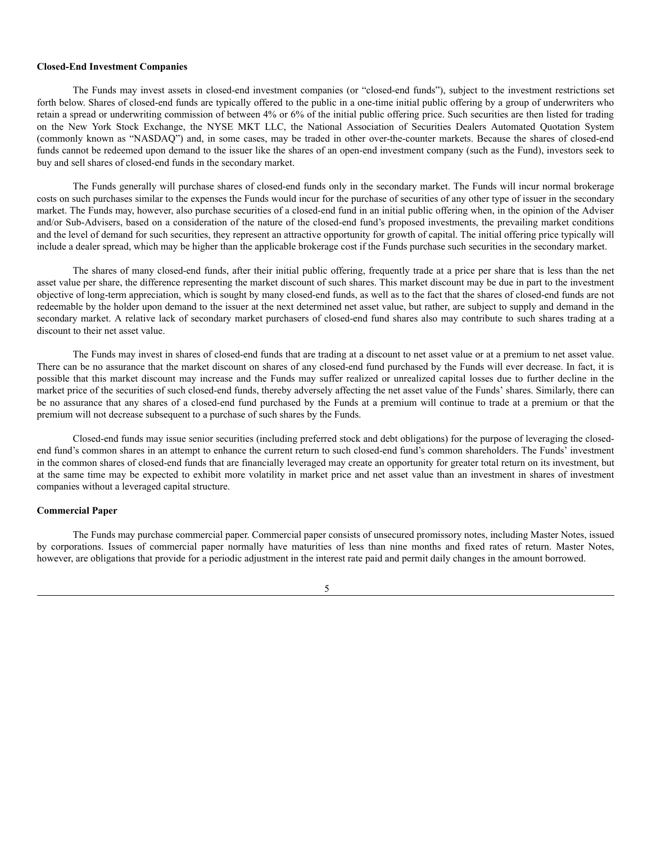### **Closed-End Investment Companies**

The Funds may invest assets in closed-end investment companies (or "closed-end funds"), subject to the investment restrictions set forth below. Shares of closed-end funds are typically offered to the public in a one-time initial public offering by a group of underwriters who retain a spread or underwriting commission of between 4% or 6% of the initial public offering price. Such securities are then listed for trading on the New York Stock Exchange, the NYSE MKT LLC, the National Association of Securities Dealers Automated Quotation System (commonly known as "NASDAQ") and, in some cases, may be traded in other over-the-counter markets. Because the shares of closed-end funds cannot be redeemed upon demand to the issuer like the shares of an open-end investment company (such as the Fund), investors seek to buy and sell shares of closed-end funds in the secondary market.

The Funds generally will purchase shares of closed-end funds only in the secondary market. The Funds will incur normal brokerage costs on such purchases similar to the expenses the Funds would incur for the purchase of securities of any other type of issuer in the secondary market. The Funds may, however, also purchase securities of a closed-end fund in an initial public offering when, in the opinion of the Adviser and/or Sub-Advisers, based on a consideration of the nature of the closed-end fund's proposed investments, the prevailing market conditions and the level of demand for such securities, they represent an attractive opportunity for growth of capital. The initial offering price typically will include a dealer spread, which may be higher than the applicable brokerage cost if the Funds purchase such securities in the secondary market.

The shares of many closed-end funds, after their initial public offering, frequently trade at a price per share that is less than the net asset value per share, the difference representing the market discount of such shares. This market discount may be due in part to the investment objective of long-term appreciation, which is sought by many closed-end funds, as well as to the fact that the shares of closed-end funds are not redeemable by the holder upon demand to the issuer at the next determined net asset value, but rather, are subject to supply and demand in the secondary market. A relative lack of secondary market purchasers of closed-end fund shares also may contribute to such shares trading at a discount to their net asset value.

The Funds may invest in shares of closed-end funds that are trading at a discount to net asset value or at a premium to net asset value. There can be no assurance that the market discount on shares of any closed-end fund purchased by the Funds will ever decrease. In fact, it is possible that this market discount may increase and the Funds may suffer realized or unrealized capital losses due to further decline in the market price of the securities of such closed-end funds, thereby adversely affecting the net asset value of the Funds' shares. Similarly, there can be no assurance that any shares of a closed-end fund purchased by the Funds at a premium will continue to trade at a premium or that the premium will not decrease subsequent to a purchase of such shares by the Funds.

Closed-end funds may issue senior securities (including preferred stock and debt obligations) for the purpose of leveraging the closedend fund's common shares in an attempt to enhance the current return to such closed-end fund's common shareholders. The Funds' investment in the common shares of closed-end funds that are financially leveraged may create an opportunity for greater total return on its investment, but at the same time may be expected to exhibit more volatility in market price and net asset value than an investment in shares of investment companies without a leveraged capital structure.

# **Commercial Paper**

The Funds may purchase commercial paper. Commercial paper consists of unsecured promissory notes, including Master Notes, issued by corporations. Issues of commercial paper normally have maturities of less than nine months and fixed rates of return. Master Notes, however, are obligations that provide for a periodic adjustment in the interest rate paid and permit daily changes in the amount borrowed.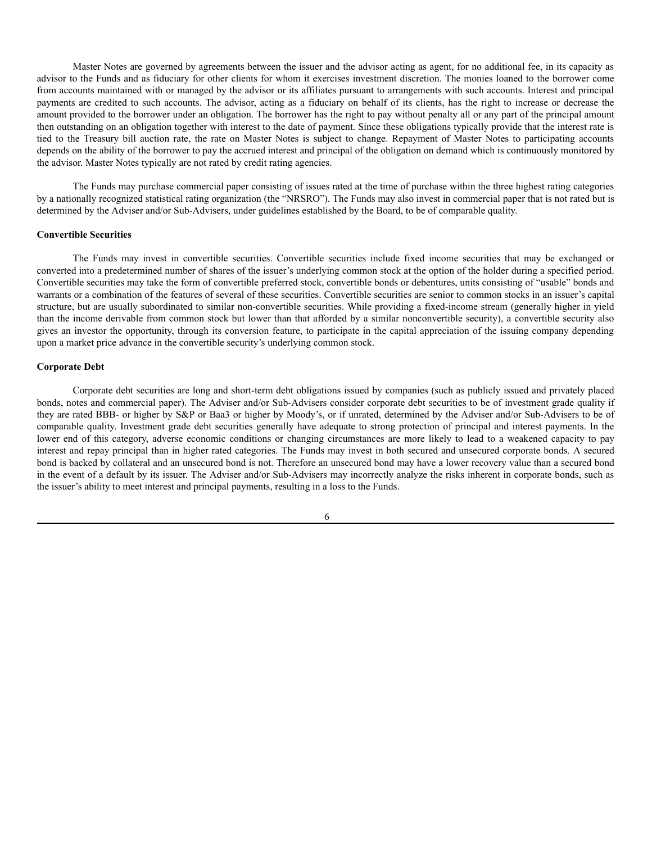Master Notes are governed by agreements between the issuer and the advisor acting as agent, for no additional fee, in its capacity as advisor to the Funds and as fiduciary for other clients for whom it exercises investment discretion. The monies loaned to the borrower come from accounts maintained with or managed by the advisor or its affiliates pursuant to arrangements with such accounts. Interest and principal payments are credited to such accounts. The advisor, acting as a fiduciary on behalf of its clients, has the right to increase or decrease the amount provided to the borrower under an obligation. The borrower has the right to pay without penalty all or any part of the principal amount then outstanding on an obligation together with interest to the date of payment. Since these obligations typically provide that the interest rate is tied to the Treasury bill auction rate, the rate on Master Notes is subject to change. Repayment of Master Notes to participating accounts depends on the ability of the borrower to pay the accrued interest and principal of the obligation on demand which is continuously monitored by the advisor. Master Notes typically are not rated by credit rating agencies.

The Funds may purchase commercial paper consisting of issues rated at the time of purchase within the three highest rating categories by a nationally recognized statistical rating organization (the "NRSRO"). The Funds may also invest in commercial paper that is not rated but is determined by the Adviser and/or Sub-Advisers, under guidelines established by the Board, to be of comparable quality.

### **Convertible Securities**

The Funds may invest in convertible securities. Convertible securities include fixed income securities that may be exchanged or converted into a predetermined number of shares of the issuer's underlying common stock at the option of the holder during a specified period. Convertible securities may take the form of convertible preferred stock, convertible bonds or debentures, units consisting of "usable" bonds and warrants or a combination of the features of several of these securities. Convertible securities are senior to common stocks in an issuer's capital structure, but are usually subordinated to similar non-convertible securities. While providing a fixed-income stream (generally higher in yield than the income derivable from common stock but lower than that afforded by a similar nonconvertible security), a convertible security also gives an investor the opportunity, through its conversion feature, to participate in the capital appreciation of the issuing company depending upon a market price advance in the convertible security's underlying common stock.

### **Corporate Debt**

Corporate debt securities are long and short-term debt obligations issued by companies (such as publicly issued and privately placed bonds, notes and commercial paper). The Adviser and/or Sub-Advisers consider corporate debt securities to be of investment grade quality if they are rated BBB- or higher by S&P or Baa3 or higher by Moody's, or if unrated, determined by the Adviser and/or Sub-Advisers to be of comparable quality. Investment grade debt securities generally have adequate to strong protection of principal and interest payments. In the lower end of this category, adverse economic conditions or changing circumstances are more likely to lead to a weakened capacity to pay interest and repay principal than in higher rated categories. The Funds may invest in both secured and unsecured corporate bonds. A secured bond is backed by collateral and an unsecured bond is not. Therefore an unsecured bond may have a lower recovery value than a secured bond in the event of a default by its issuer. The Adviser and/or Sub-Advisers may incorrectly analyze the risks inherent in corporate bonds, such as the issuer's ability to meet interest and principal payments, resulting in a loss to the Funds.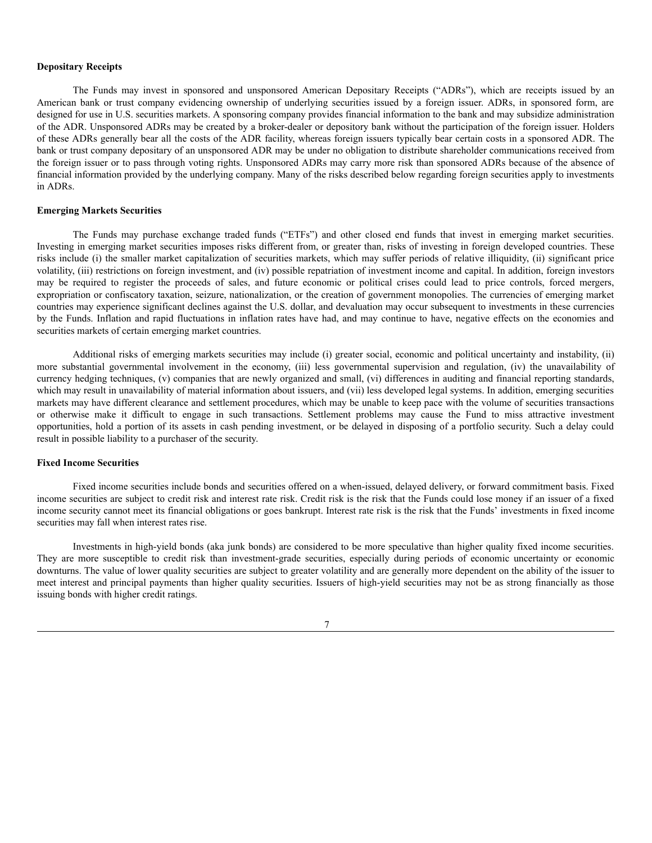### **Depositary Receipts**

The Funds may invest in sponsored and unsponsored American Depositary Receipts ("ADRs"), which are receipts issued by an American bank or trust company evidencing ownership of underlying securities issued by a foreign issuer. ADRs, in sponsored form, are designed for use in U.S. securities markets. A sponsoring company provides financial information to the bank and may subsidize administration of the ADR. Unsponsored ADRs may be created by a broker-dealer or depository bank without the participation of the foreign issuer. Holders of these ADRs generally bear all the costs of the ADR facility, whereas foreign issuers typically bear certain costs in a sponsored ADR. The bank or trust company depositary of an unsponsored ADR may be under no obligation to distribute shareholder communications received from the foreign issuer or to pass through voting rights. Unsponsored ADRs may carry more risk than sponsored ADRs because of the absence of financial information provided by the underlying company. Many of the risks described below regarding foreign securities apply to investments in ADRs.

#### **Emerging Markets Securities**

The Funds may purchase exchange traded funds ("ETFs") and other closed end funds that invest in emerging market securities. Investing in emerging market securities imposes risks different from, or greater than, risks of investing in foreign developed countries. These risks include (i) the smaller market capitalization of securities markets, which may suffer periods of relative illiquidity, (ii) significant price volatility, (iii) restrictions on foreign investment, and (iv) possible repatriation of investment income and capital. In addition, foreign investors may be required to register the proceeds of sales, and future economic or political crises could lead to price controls, forced mergers, expropriation or confiscatory taxation, seizure, nationalization, or the creation of government monopolies. The currencies of emerging market countries may experience significant declines against the U.S. dollar, and devaluation may occur subsequent to investments in these currencies by the Funds. Inflation and rapid fluctuations in inflation rates have had, and may continue to have, negative effects on the economies and securities markets of certain emerging market countries.

Additional risks of emerging markets securities may include (i) greater social, economic and political uncertainty and instability, (ii) more substantial governmental involvement in the economy, (iii) less governmental supervision and regulation, (iv) the unavailability of currency hedging techniques, (v) companies that are newly organized and small, (vi) differences in auditing and financial reporting standards, which may result in unavailability of material information about issuers, and (vii) less developed legal systems. In addition, emerging securities markets may have different clearance and settlement procedures, which may be unable to keep pace with the volume of securities transactions or otherwise make it difficult to engage in such transactions. Settlement problems may cause the Fund to miss attractive investment opportunities, hold a portion of its assets in cash pending investment, or be delayed in disposing of a portfolio security. Such a delay could result in possible liability to a purchaser of the security.

### **Fixed Income Securities**

Fixed income securities include bonds and securities offered on a when-issued, delayed delivery, or forward commitment basis. Fixed income securities are subject to credit risk and interest rate risk. Credit risk is the risk that the Funds could lose money if an issuer of a fixed income security cannot meet its financial obligations or goes bankrupt. Interest rate risk is the risk that the Funds' investments in fixed income securities may fall when interest rates rise.

Investments in high-yield bonds (aka junk bonds) are considered to be more speculative than higher quality fixed income securities. They are more susceptible to credit risk than investment-grade securities, especially during periods of economic uncertainty or economic downturns. The value of lower quality securities are subject to greater volatility and are generally more dependent on the ability of the issuer to meet interest and principal payments than higher quality securities. Issuers of high-yield securities may not be as strong financially as those issuing bonds with higher credit ratings.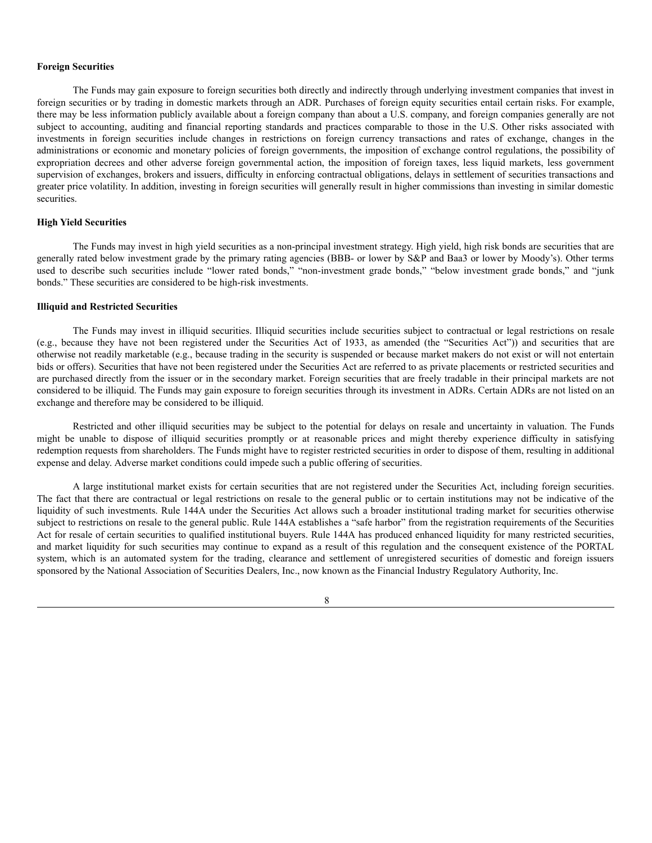### **Foreign Securities**

The Funds may gain exposure to foreign securities both directly and indirectly through underlying investment companies that invest in foreign securities or by trading in domestic markets through an ADR. Purchases of foreign equity securities entail certain risks. For example, there may be less information publicly available about a foreign company than about a U.S. company, and foreign companies generally are not subject to accounting, auditing and financial reporting standards and practices comparable to those in the U.S. Other risks associated with investments in foreign securities include changes in restrictions on foreign currency transactions and rates of exchange, changes in the administrations or economic and monetary policies of foreign governments, the imposition of exchange control regulations, the possibility of expropriation decrees and other adverse foreign governmental action, the imposition of foreign taxes, less liquid markets, less government supervision of exchanges, brokers and issuers, difficulty in enforcing contractual obligations, delays in settlement of securities transactions and greater price volatility. In addition, investing in foreign securities will generally result in higher commissions than investing in similar domestic securities.

### **High Yield Securities**

The Funds may invest in high yield securities as a non-principal investment strategy. High yield, high risk bonds are securities that are generally rated below investment grade by the primary rating agencies (BBB- or lower by S&P and Baa3 or lower by Moody's). Other terms used to describe such securities include "lower rated bonds," "non-investment grade bonds," "below investment grade bonds," and "junk bonds." These securities are considered to be high-risk investments.

### **Illiquid and Restricted Securities**

The Funds may invest in illiquid securities. Illiquid securities include securities subject to contractual or legal restrictions on resale (e.g., because they have not been registered under the Securities Act of 1933, as amended (the "Securities Act")) and securities that are otherwise not readily marketable (e.g., because trading in the security is suspended or because market makers do not exist or will not entertain bids or offers). Securities that have not been registered under the Securities Act are referred to as private placements or restricted securities and are purchased directly from the issuer or in the secondary market. Foreign securities that are freely tradable in their principal markets are not considered to be illiquid. The Funds may gain exposure to foreign securities through its investment in ADRs. Certain ADRs are not listed on an exchange and therefore may be considered to be illiquid.

Restricted and other illiquid securities may be subject to the potential for delays on resale and uncertainty in valuation. The Funds might be unable to dispose of illiquid securities promptly or at reasonable prices and might thereby experience difficulty in satisfying redemption requests from shareholders. The Funds might have to register restricted securities in order to dispose of them, resulting in additional expense and delay. Adverse market conditions could impede such a public offering of securities.

A large institutional market exists for certain securities that are not registered under the Securities Act, including foreign securities. The fact that there are contractual or legal restrictions on resale to the general public or to certain institutions may not be indicative of the liquidity of such investments. Rule 144A under the Securities Act allows such a broader institutional trading market for securities otherwise subject to restrictions on resale to the general public. Rule 144A establishes a "safe harbor" from the registration requirements of the Securities Act for resale of certain securities to qualified institutional buyers. Rule 144A has produced enhanced liquidity for many restricted securities, and market liquidity for such securities may continue to expand as a result of this regulation and the consequent existence of the PORTAL system, which is an automated system for the trading, clearance and settlement of unregistered securities of domestic and foreign issuers sponsored by the National Association of Securities Dealers, Inc., now known as the Financial Industry Regulatory Authority, Inc.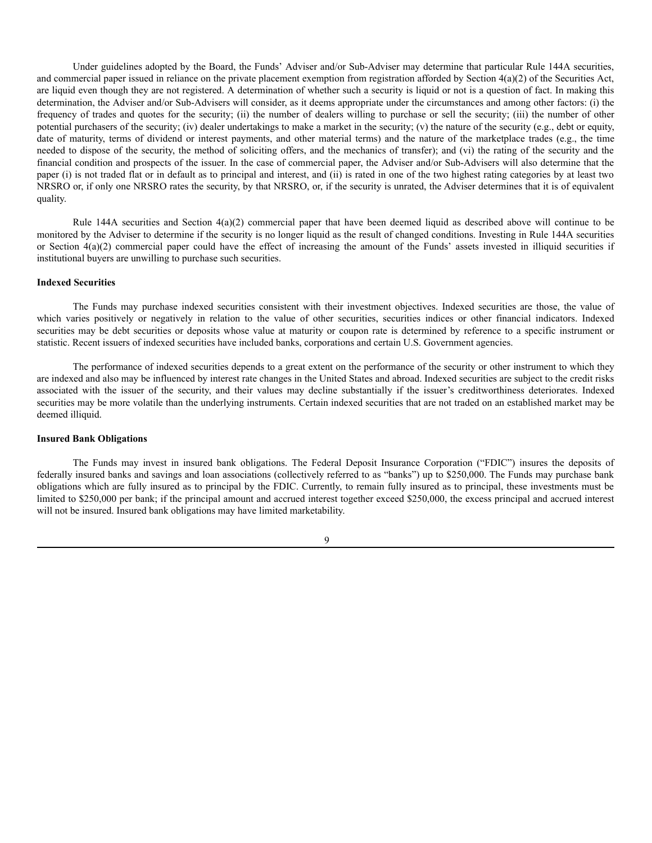Under guidelines adopted by the Board, the Funds' Adviser and/or Sub-Adviser may determine that particular Rule 144A securities, and commercial paper issued in reliance on the private placement exemption from registration afforded by Section 4(a)(2) of the Securities Act, are liquid even though they are not registered. A determination of whether such a security is liquid or not is a question of fact. In making this determination, the Adviser and/or Sub-Advisers will consider, as it deems appropriate under the circumstances and among other factors: (i) the frequency of trades and quotes for the security; (ii) the number of dealers willing to purchase or sell the security; (iii) the number of other potential purchasers of the security; (iv) dealer undertakings to make a market in the security; (v) the nature of the security (e.g., debt or equity, date of maturity, terms of dividend or interest payments, and other material terms) and the nature of the marketplace trades (e.g., the time needed to dispose of the security, the method of soliciting offers, and the mechanics of transfer); and (vi) the rating of the security and the financial condition and prospects of the issuer. In the case of commercial paper, the Adviser and/or Sub-Advisers will also determine that the paper (i) is not traded flat or in default as to principal and interest, and (ii) is rated in one of the two highest rating categories by at least two NRSRO or, if only one NRSRO rates the security, by that NRSRO, or, if the security is unrated, the Adviser determines that it is of equivalent quality.

Rule 144A securities and Section 4(a)(2) commercial paper that have been deemed liquid as described above will continue to be monitored by the Adviser to determine if the security is no longer liquid as the result of changed conditions. Investing in Rule 144A securities or Section 4(a)(2) commercial paper could have the effect of increasing the amount of the Funds' assets invested in illiquid securities if institutional buyers are unwilling to purchase such securities.

### **Indexed Securities**

The Funds may purchase indexed securities consistent with their investment objectives. Indexed securities are those, the value of which varies positively or negatively in relation to the value of other securities, securities indices or other financial indicators. Indexed securities may be debt securities or deposits whose value at maturity or coupon rate is determined by reference to a specific instrument or statistic. Recent issuers of indexed securities have included banks, corporations and certain U.S. Government agencies.

The performance of indexed securities depends to a great extent on the performance of the security or other instrument to which they are indexed and also may be influenced by interest rate changes in the United States and abroad. Indexed securities are subject to the credit risks associated with the issuer of the security, and their values may decline substantially if the issuer's creditworthiness deteriorates. Indexed securities may be more volatile than the underlying instruments. Certain indexed securities that are not traded on an established market may be deemed illiquid.

## **Insured Bank Obligations**

The Funds may invest in insured bank obligations. The Federal Deposit Insurance Corporation ("FDIC") insures the deposits of federally insured banks and savings and loan associations (collectively referred to as "banks") up to \$250,000. The Funds may purchase bank obligations which are fully insured as to principal by the FDIC. Currently, to remain fully insured as to principal, these investments must be limited to \$250,000 per bank; if the principal amount and accrued interest together exceed \$250,000, the excess principal and accrued interest will not be insured. Insured bank obligations may have limited marketability.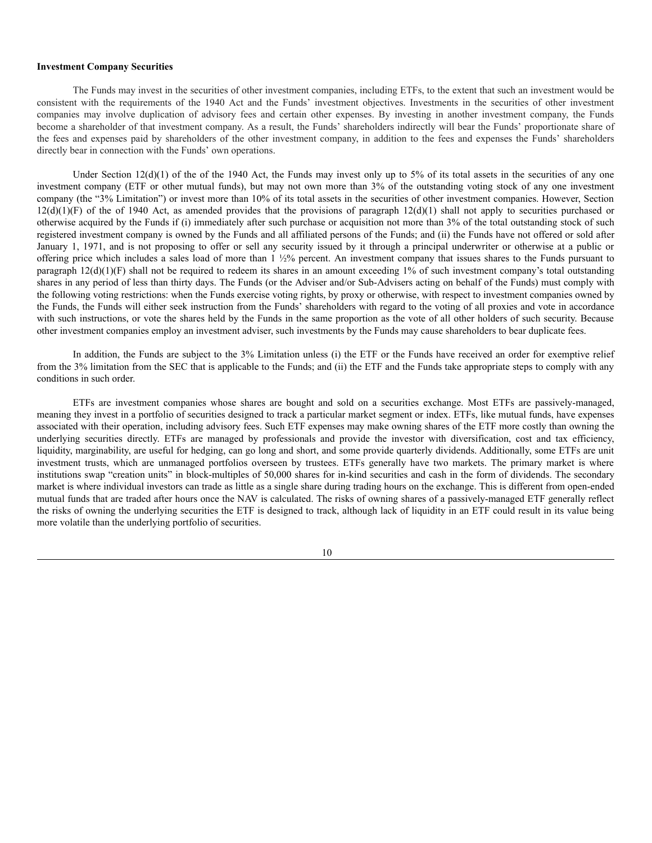#### **Investment Company Securities**

The Funds may invest in the securities of other investment companies, including ETFs, to the extent that such an investment would be consistent with the requirements of the 1940 Act and the Funds' investment objectives. Investments in the securities of other investment companies may involve duplication of advisory fees and certain other expenses. By investing in another investment company, the Funds become a shareholder of that investment company. As a result, the Funds' shareholders indirectly will bear the Funds' proportionate share of the fees and expenses paid by shareholders of the other investment company, in addition to the fees and expenses the Funds' shareholders directly bear in connection with the Funds' own operations.

Under Section  $12(d)(1)$  of the of the 1940 Act, the Funds may invest only up to 5% of its total assets in the securities of any one investment company (ETF or other mutual funds), but may not own more than 3% of the outstanding voting stock of any one investment company (the "3% Limitation") or invest more than 10% of its total assets in the securities of other investment companies. However, Section  $12(d)(1)(F)$  of the of 1940 Act, as amended provides that the provisions of paragraph  $12(d)(1)$  shall not apply to securities purchased or otherwise acquired by the Funds if (i) immediately after such purchase or acquisition not more than 3% of the total outstanding stock of such registered investment company is owned by the Funds and all affiliated persons of the Funds; and (ii) the Funds have not offered or sold after January 1, 1971, and is not proposing to offer or sell any security issued by it through a principal underwriter or otherwise at a public or offering price which includes a sales load of more than 1 ½% percent. An investment company that issues shares to the Funds pursuant to paragraph  $12(d)(1)(F)$  shall not be required to redeem its shares in an amount exceeding 1% of such investment company's total outstanding shares in any period of less than thirty days. The Funds (or the Adviser and/or Sub-Advisers acting on behalf of the Funds) must comply with the following voting restrictions: when the Funds exercise voting rights, by proxy or otherwise, with respect to investment companies owned by the Funds, the Funds will either seek instruction from the Funds' shareholders with regard to the voting of all proxies and vote in accordance with such instructions, or vote the shares held by the Funds in the same proportion as the vote of all other holders of such security. Because other investment companies employ an investment adviser, such investments by the Funds may cause shareholders to bear duplicate fees.

In addition, the Funds are subject to the 3% Limitation unless (i) the ETF or the Funds have received an order for exemptive relief from the 3% limitation from the SEC that is applicable to the Funds; and (ii) the ETF and the Funds take appropriate steps to comply with any conditions in such order.

ETFs are investment companies whose shares are bought and sold on a securities exchange. Most ETFs are passively-managed, meaning they invest in a portfolio of securities designed to track a particular market segment or index. ETFs, like mutual funds, have expenses associated with their operation, including advisory fees. Such ETF expenses may make owning shares of the ETF more costly than owning the underlying securities directly. ETFs are managed by professionals and provide the investor with diversification, cost and tax efficiency, liquidity, marginability, are useful for hedging, can go long and short, and some provide quarterly dividends. Additionally, some ETFs are unit investment trusts, which are unmanaged portfolios overseen by trustees. ETFs generally have two markets. The primary market is where institutions swap "creation units" in block-multiples of 50,000 shares for in-kind securities and cash in the form of dividends. The secondary market is where individual investors can trade as little as a single share during trading hours on the exchange. This is different from open-ended mutual funds that are traded after hours once the NAV is calculated. The risks of owning shares of a passively-managed ETF generally reflect the risks of owning the underlying securities the ETF is designed to track, although lack of liquidity in an ETF could result in its value being more volatile than the underlying portfolio of securities.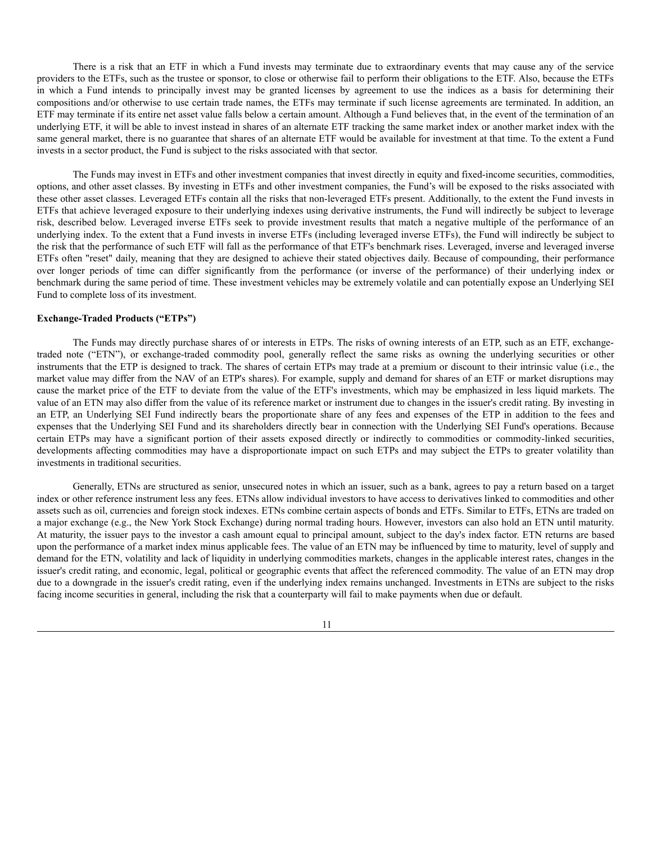There is a risk that an ETF in which a Fund invests may terminate due to extraordinary events that may cause any of the service providers to the ETFs, such as the trustee or sponsor, to close or otherwise fail to perform their obligations to the ETF. Also, because the ETFs in which a Fund intends to principally invest may be granted licenses by agreement to use the indices as a basis for determining their compositions and/or otherwise to use certain trade names, the ETFs may terminate if such license agreements are terminated. In addition, an ETF may terminate if its entire net asset value falls below a certain amount. Although a Fund believes that, in the event of the termination of an underlying ETF, it will be able to invest instead in shares of an alternate ETF tracking the same market index or another market index with the same general market, there is no guarantee that shares of an alternate ETF would be available for investment at that time. To the extent a Fund invests in a sector product, the Fund is subject to the risks associated with that sector.

The Funds may invest in ETFs and other investment companies that invest directly in equity and fixed-income securities, commodities, options, and other asset classes. By investing in ETFs and other investment companies, the Fund's will be exposed to the risks associated with these other asset classes. Leveraged ETFs contain all the risks that non-leveraged ETFs present. Additionally, to the extent the Fund invests in ETFs that achieve leveraged exposure to their underlying indexes using derivative instruments, the Fund will indirectly be subject to leverage risk, described below. Leveraged inverse ETFs seek to provide investment results that match a negative multiple of the performance of an underlying index. To the extent that a Fund invests in inverse ETFs (including leveraged inverse ETFs), the Fund will indirectly be subject to the risk that the performance of such ETF will fall as the performance of that ETF's benchmark rises. Leveraged, inverse and leveraged inverse ETFs often "reset" daily, meaning that they are designed to achieve their stated objectives daily. Because of compounding, their performance over longer periods of time can differ significantly from the performance (or inverse of the performance) of their underlying index or benchmark during the same period of time. These investment vehicles may be extremely volatile and can potentially expose an Underlying SEI Fund to complete loss of its investment.

### **Exchange-Traded Products ("ETPs")**

The Funds may directly purchase shares of or interests in ETPs. The risks of owning interests of an ETP, such as an ETF, exchangetraded note ("ETN"), or exchange-traded commodity pool, generally reflect the same risks as owning the underlying securities or other instruments that the ETP is designed to track. The shares of certain ETPs may trade at a premium or discount to their intrinsic value (i.e., the market value may differ from the NAV of an ETP's shares). For example, supply and demand for shares of an ETF or market disruptions may cause the market price of the ETF to deviate from the value of the ETF's investments, which may be emphasized in less liquid markets. The value of an ETN may also differ from the value of its reference market or instrument due to changes in the issuer's credit rating. By investing in an ETP, an Underlying SEI Fund indirectly bears the proportionate share of any fees and expenses of the ETP in addition to the fees and expenses that the Underlying SEI Fund and its shareholders directly bear in connection with the Underlying SEI Fund's operations. Because certain ETPs may have a significant portion of their assets exposed directly or indirectly to commodities or commodity-linked securities, developments affecting commodities may have a disproportionate impact on such ETPs and may subject the ETPs to greater volatility than investments in traditional securities.

Generally, ETNs are structured as senior, unsecured notes in which an issuer, such as a bank, agrees to pay a return based on a target index or other reference instrument less any fees. ETNs allow individual investors to have access to derivatives linked to commodities and other assets such as oil, currencies and foreign stock indexes. ETNs combine certain aspects of bonds and ETFs. Similar to ETFs, ETNs are traded on a major exchange (e.g., the New York Stock Exchange) during normal trading hours. However, investors can also hold an ETN until maturity. At maturity, the issuer pays to the investor a cash amount equal to principal amount, subject to the day's index factor. ETN returns are based upon the performance of a market index minus applicable fees. The value of an ETN may be influenced by time to maturity, level of supply and demand for the ETN, volatility and lack of liquidity in underlying commodities markets, changes in the applicable interest rates, changes in the issuer's credit rating, and economic, legal, political or geographic events that affect the referenced commodity. The value of an ETN may drop due to a downgrade in the issuer's credit rating, even if the underlying index remains unchanged. Investments in ETNs are subject to the risks facing income securities in general, including the risk that a counterparty will fail to make payments when due or default.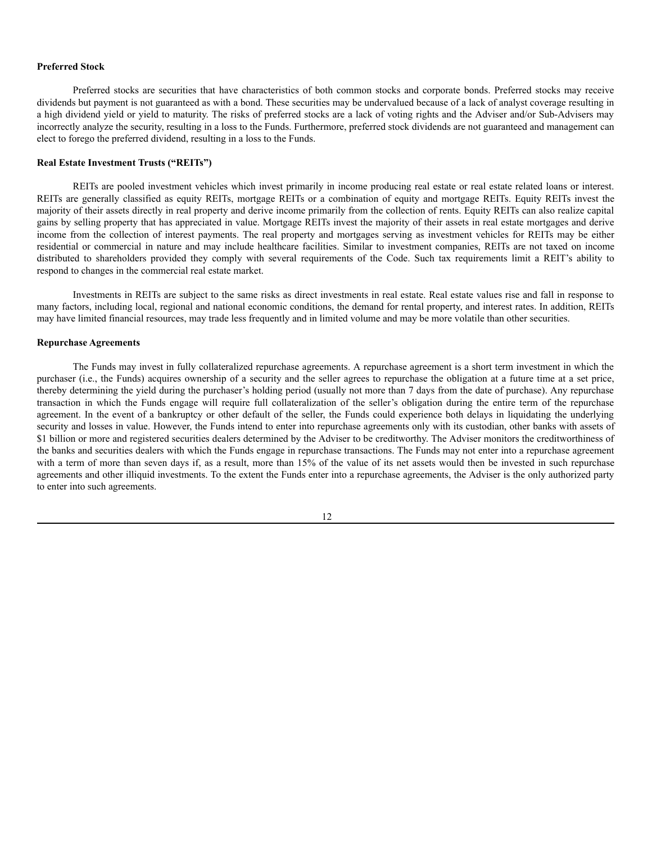## **Preferred Stock**

Preferred stocks are securities that have characteristics of both common stocks and corporate bonds. Preferred stocks may receive dividends but payment is not guaranteed as with a bond. These securities may be undervalued because of a lack of analyst coverage resulting in a high dividend yield or yield to maturity. The risks of preferred stocks are a lack of voting rights and the Adviser and/or Sub-Advisers may incorrectly analyze the security, resulting in a loss to the Funds. Furthermore, preferred stock dividends are not guaranteed and management can elect to forego the preferred dividend, resulting in a loss to the Funds.

### **Real Estate Investment Trusts ("REITs")**

REITs are pooled investment vehicles which invest primarily in income producing real estate or real estate related loans or interest. REITs are generally classified as equity REITs, mortgage REITs or a combination of equity and mortgage REITs. Equity REITs invest the majority of their assets directly in real property and derive income primarily from the collection of rents. Equity REITs can also realize capital gains by selling property that has appreciated in value. Mortgage REITs invest the majority of their assets in real estate mortgages and derive income from the collection of interest payments. The real property and mortgages serving as investment vehicles for REITs may be either residential or commercial in nature and may include healthcare facilities. Similar to investment companies, REITs are not taxed on income distributed to shareholders provided they comply with several requirements of the Code. Such tax requirements limit a REIT's ability to respond to changes in the commercial real estate market.

Investments in REITs are subject to the same risks as direct investments in real estate. Real estate values rise and fall in response to many factors, including local, regional and national economic conditions, the demand for rental property, and interest rates. In addition, REITs may have limited financial resources, may trade less frequently and in limited volume and may be more volatile than other securities.

### **Repurchase Agreements**

The Funds may invest in fully collateralized repurchase agreements. A repurchase agreement is a short term investment in which the purchaser (i.e., the Funds) acquires ownership of a security and the seller agrees to repurchase the obligation at a future time at a set price, thereby determining the yield during the purchaser's holding period (usually not more than 7 days from the date of purchase). Any repurchase transaction in which the Funds engage will require full collateralization of the seller's obligation during the entire term of the repurchase agreement. In the event of a bankruptcy or other default of the seller, the Funds could experience both delays in liquidating the underlying security and losses in value. However, the Funds intend to enter into repurchase agreements only with its custodian, other banks with assets of \$1 billion or more and registered securities dealers determined by the Adviser to be creditworthy. The Adviser monitors the creditworthiness of the banks and securities dealers with which the Funds engage in repurchase transactions. The Funds may not enter into a repurchase agreement with a term of more than seven days if, as a result, more than 15% of the value of its net assets would then be invested in such repurchase agreements and other illiquid investments. To the extent the Funds enter into a repurchase agreements, the Adviser is the only authorized party to enter into such agreements.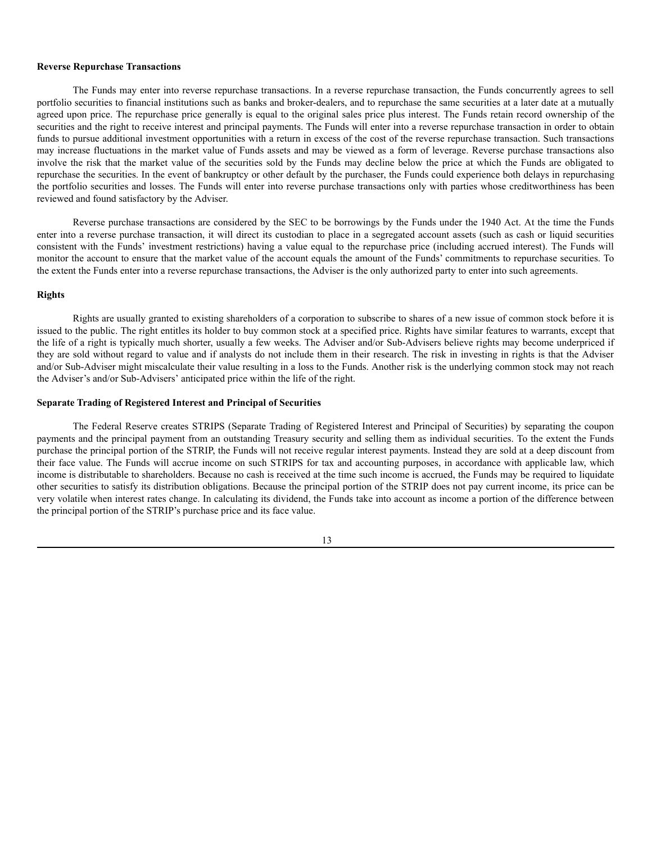### **Reverse Repurchase Transactions**

The Funds may enter into reverse repurchase transactions. In a reverse repurchase transaction, the Funds concurrently agrees to sell portfolio securities to financial institutions such as banks and broker-dealers, and to repurchase the same securities at a later date at a mutually agreed upon price. The repurchase price generally is equal to the original sales price plus interest. The Funds retain record ownership of the securities and the right to receive interest and principal payments. The Funds will enter into a reverse repurchase transaction in order to obtain funds to pursue additional investment opportunities with a return in excess of the cost of the reverse repurchase transaction. Such transactions may increase fluctuations in the market value of Funds assets and may be viewed as a form of leverage. Reverse purchase transactions also involve the risk that the market value of the securities sold by the Funds may decline below the price at which the Funds are obligated to repurchase the securities. In the event of bankruptcy or other default by the purchaser, the Funds could experience both delays in repurchasing the portfolio securities and losses. The Funds will enter into reverse purchase transactions only with parties whose creditworthiness has been reviewed and found satisfactory by the Adviser.

Reverse purchase transactions are considered by the SEC to be borrowings by the Funds under the 1940 Act. At the time the Funds enter into a reverse purchase transaction, it will direct its custodian to place in a segregated account assets (such as cash or liquid securities consistent with the Funds' investment restrictions) having a value equal to the repurchase price (including accrued interest). The Funds will monitor the account to ensure that the market value of the account equals the amount of the Funds' commitments to repurchase securities. To the extent the Funds enter into a reverse repurchase transactions, the Adviser is the only authorized party to enter into such agreements.

#### **Rights**

Rights are usually granted to existing shareholders of a corporation to subscribe to shares of a new issue of common stock before it is issued to the public. The right entitles its holder to buy common stock at a specified price. Rights have similar features to warrants, except that the life of a right is typically much shorter, usually a few weeks. The Adviser and/or Sub-Advisers believe rights may become underpriced if they are sold without regard to value and if analysts do not include them in their research. The risk in investing in rights is that the Adviser and/or Sub-Adviser might miscalculate their value resulting in a loss to the Funds. Another risk is the underlying common stock may not reach the Adviser's and/or Sub-Advisers' anticipated price within the life of the right.

### **Separate Trading of Registered Interest and Principal of Securities**

The Federal Reserve creates STRIPS (Separate Trading of Registered Interest and Principal of Securities) by separating the coupon payments and the principal payment from an outstanding Treasury security and selling them as individual securities. To the extent the Funds purchase the principal portion of the STRIP, the Funds will not receive regular interest payments. Instead they are sold at a deep discount from their face value. The Funds will accrue income on such STRIPS for tax and accounting purposes, in accordance with applicable law, which income is distributable to shareholders. Because no cash is received at the time such income is accrued, the Funds may be required to liquidate other securities to satisfy its distribution obligations. Because the principal portion of the STRIP does not pay current income, its price can be very volatile when interest rates change. In calculating its dividend, the Funds take into account as income a portion of the difference between the principal portion of the STRIP's purchase price and its face value.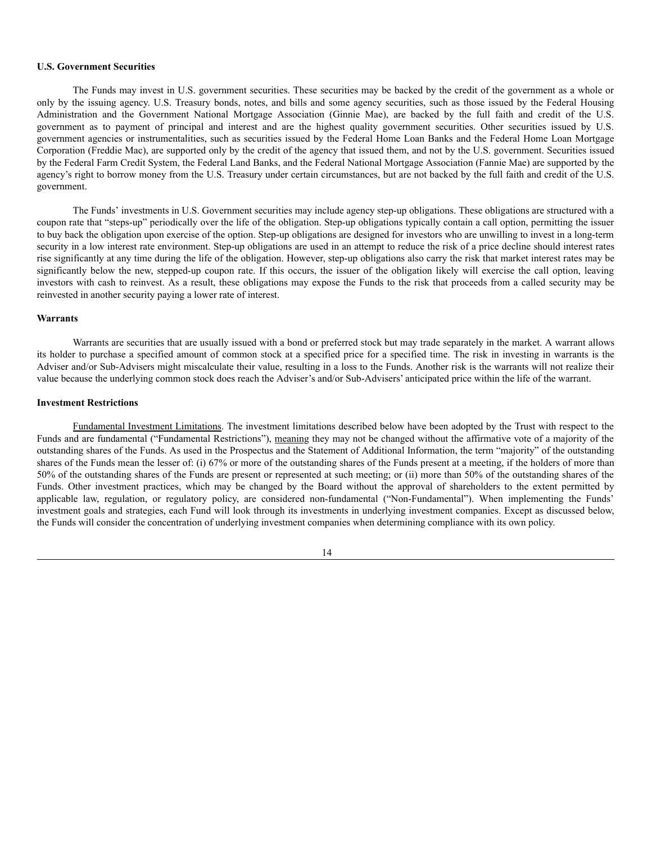### **U.S. Government Securities**

The Funds may invest in U.S. government securities. These securities may be backed by the credit of the government as a whole or only by the issuing agency. U.S. Treasury bonds, notes, and bills and some agency securities, such as those issued by the Federal Housing Administration and the Government National Mortgage Association (Ginnie Mae), are backed by the full faith and credit of the U.S. government as to payment of principal and interest and are the highest quality government securities. Other securities issued by U.S. government agencies or instrumentalities, such as securities issued by the Federal Home Loan Banks and the Federal Home Loan Mortgage Corporation (Freddie Mac), are supported only by the credit of the agency that issued them, and not by the U.S. government. Securities issued by the Federal Farm Credit System, the Federal Land Banks, and the Federal National Mortgage Association (Fannie Mae) are supported by the agency's right to borrow money from the U.S. Treasury under certain circumstances, but are not backed by the full faith and credit of the U.S. government.

The Funds' investments in U.S. Government securities may include agency step-up obligations. These obligations are structured with a coupon rate that "steps-up" periodically over the life of the obligation. Step-up obligations typically contain a call option, permitting the issuer to buy back the obligation upon exercise of the option. Step-up obligations are designed for investors who are unwilling to invest in a long-term security in a low interest rate environment. Step-up obligations are used in an attempt to reduce the risk of a price decline should interest rates rise significantly at any time during the life of the obligation. However, step-up obligations also carry the risk that market interest rates may be significantly below the new, stepped-up coupon rate. If this occurs, the issuer of the obligation likely will exercise the call option, leaving investors with cash to reinvest. As a result, these obligations may expose the Funds to the risk that proceeds from a called security may be reinvested in another security paying a lower rate of interest.

### **Warrants**

Warrants are securities that are usually issued with a bond or preferred stock but may trade separately in the market. A warrant allows its holder to purchase a specified amount of common stock at a specified price for a specified time. The risk in investing in warrants is the Adviser and/or Sub-Advisers might miscalculate their value, resulting in a loss to the Funds. Another risk is the warrants will not realize their value because the underlying common stock does reach the Adviser's and/or Sub-Advisers' anticipated price within the life of the warrant.

### **Investment Restrictions**

Fundamental Investment Limitations. The investment limitations described below have been adopted by the Trust with respect to the Funds and are fundamental ("Fundamental Restrictions"), meaning they may not be changed without the affirmative vote of a majority of the outstanding shares of the Funds. As used in the Prospectus and the Statement of Additional Information, the term "majority" of the outstanding shares of the Funds mean the lesser of: (i) 67% or more of the outstanding shares of the Funds present at a meeting, if the holders of more than 50% of the outstanding shares of the Funds are present or represented at such meeting; or (ii) more than 50% of the outstanding shares of the Funds. Other investment practices, which may be changed by the Board without the approval of shareholders to the extent permitted by applicable law, regulation, or regulatory policy, are considered non-fundamental ("Non-Fundamental"). When implementing the Funds' investment goals and strategies, each Fund will look through its investments in underlying investment companies. Except as discussed below, the Funds will consider the concentration of underlying investment companies when determining compliance with its own policy.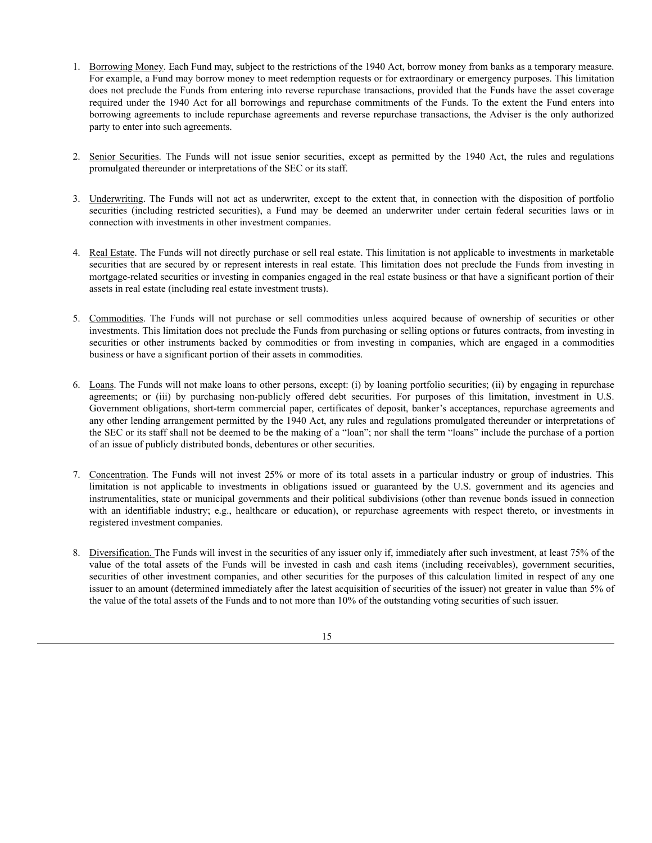- 1. Borrowing Money. Each Fund may, subject to the restrictions of the 1940 Act, borrow money from banks as a temporary measure. For example, a Fund may borrow money to meet redemption requests or for extraordinary or emergency purposes. This limitation does not preclude the Funds from entering into reverse repurchase transactions, provided that the Funds have the asset coverage required under the 1940 Act for all borrowings and repurchase commitments of the Funds. To the extent the Fund enters into borrowing agreements to include repurchase agreements and reverse repurchase transactions, the Adviser is the only authorized party to enter into such agreements.
- 2. Senior Securities. The Funds will not issue senior securities, except as permitted by the 1940 Act, the rules and regulations promulgated thereunder or interpretations of the SEC or its staff.
- 3. Underwriting. The Funds will not act as underwriter, except to the extent that, in connection with the disposition of portfolio securities (including restricted securities), a Fund may be deemed an underwriter under certain federal securities laws or in connection with investments in other investment companies.
- 4. Real Estate. The Funds will not directly purchase or sell real estate. This limitation is not applicable to investments in marketable securities that are secured by or represent interests in real estate. This limitation does not preclude the Funds from investing in mortgage-related securities or investing in companies engaged in the real estate business or that have a significant portion of their assets in real estate (including real estate investment trusts).
- 5. Commodities. The Funds will not purchase or sell commodities unless acquired because of ownership of securities or other investments. This limitation does not preclude the Funds from purchasing or selling options or futures contracts, from investing in securities or other instruments backed by commodities or from investing in companies, which are engaged in a commodities business or have a significant portion of their assets in commodities.
- 6. Loans. The Funds will not make loans to other persons, except: (i) by loaning portfolio securities; (ii) by engaging in repurchase agreements; or (iii) by purchasing non-publicly offered debt securities. For purposes of this limitation, investment in U.S. Government obligations, short-term commercial paper, certificates of deposit, banker's acceptances, repurchase agreements and any other lending arrangement permitted by the 1940 Act, any rules and regulations promulgated thereunder or interpretations of the SEC or its staff shall not be deemed to be the making of a "loan"; nor shall the term "loans" include the purchase of a portion of an issue of publicly distributed bonds, debentures or other securities.
- 7. Concentration. The Funds will not invest 25% or more of its total assets in a particular industry or group of industries. This limitation is not applicable to investments in obligations issued or guaranteed by the U.S. government and its agencies and instrumentalities, state or municipal governments and their political subdivisions (other than revenue bonds issued in connection with an identifiable industry; e.g., healthcare or education), or repurchase agreements with respect thereto, or investments in registered investment companies.
- 8. Diversification. The Funds will invest in the securities of any issuer only if, immediately after such investment, at least 75% of the value of the total assets of the Funds will be invested in cash and cash items (including receivables), government securities, securities of other investment companies, and other securities for the purposes of this calculation limited in respect of any one issuer to an amount (determined immediately after the latest acquisition of securities of the issuer) not greater in value than 5% of the value of the total assets of the Funds and to not more than 10% of the outstanding voting securities of such issuer.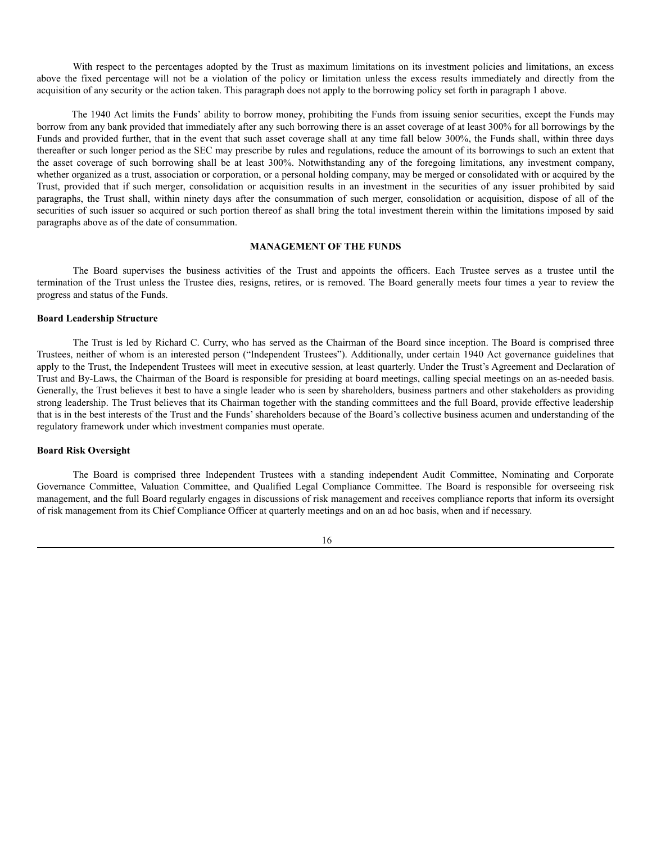With respect to the percentages adopted by the Trust as maximum limitations on its investment policies and limitations, an excess above the fixed percentage will not be a violation of the policy or limitation unless the excess results immediately and directly from the acquisition of any security or the action taken. This paragraph does not apply to the borrowing policy set forth in paragraph 1 above.

The 1940 Act limits the Funds' ability to borrow money, prohibiting the Funds from issuing senior securities, except the Funds may borrow from any bank provided that immediately after any such borrowing there is an asset coverage of at least 300% for all borrowings by the Funds and provided further, that in the event that such asset coverage shall at any time fall below 300%, the Funds shall, within three days thereafter or such longer period as the SEC may prescribe by rules and regulations, reduce the amount of its borrowings to such an extent that the asset coverage of such borrowing shall be at least 300%. Notwithstanding any of the foregoing limitations, any investment company, whether organized as a trust, association or corporation, or a personal holding company, may be merged or consolidated with or acquired by the Trust, provided that if such merger, consolidation or acquisition results in an investment in the securities of any issuer prohibited by said paragraphs, the Trust shall, within ninety days after the consummation of such merger, consolidation or acquisition, dispose of all of the securities of such issuer so acquired or such portion thereof as shall bring the total investment therein within the limitations imposed by said paragraphs above as of the date of consummation.

### **MANAGEMENT OF THE FUNDS**

<span id="page-15-0"></span>The Board supervises the business activities of the Trust and appoints the officers. Each Trustee serves as a trustee until the termination of the Trust unless the Trustee dies, resigns, retires, or is removed. The Board generally meets four times a year to review the progress and status of the Funds.

### **Board Leadership Structure**

The Trust is led by Richard C. Curry, who has served as the Chairman of the Board since inception. The Board is comprised three Trustees, neither of whom is an interested person ("Independent Trustees"). Additionally, under certain 1940 Act governance guidelines that apply to the Trust, the Independent Trustees will meet in executive session, at least quarterly. Under the Trust's Agreement and Declaration of Trust and By-Laws, the Chairman of the Board is responsible for presiding at board meetings, calling special meetings on an as-needed basis. Generally, the Trust believes it best to have a single leader who is seen by shareholders, business partners and other stakeholders as providing strong leadership. The Trust believes that its Chairman together with the standing committees and the full Board, provide effective leadership that is in the best interests of the Trust and the Funds' shareholders because of the Board's collective business acumen and understanding of the regulatory framework under which investment companies must operate.

# **Board Risk Oversight**

The Board is comprised three Independent Trustees with a standing independent Audit Committee, Nominating and Corporate Governance Committee, Valuation Committee, and Qualified Legal Compliance Committee. The Board is responsible for overseeing risk management, and the full Board regularly engages in discussions of risk management and receives compliance reports that inform its oversight of risk management from its Chief Compliance Officer at quarterly meetings and on an ad hoc basis, when and if necessary.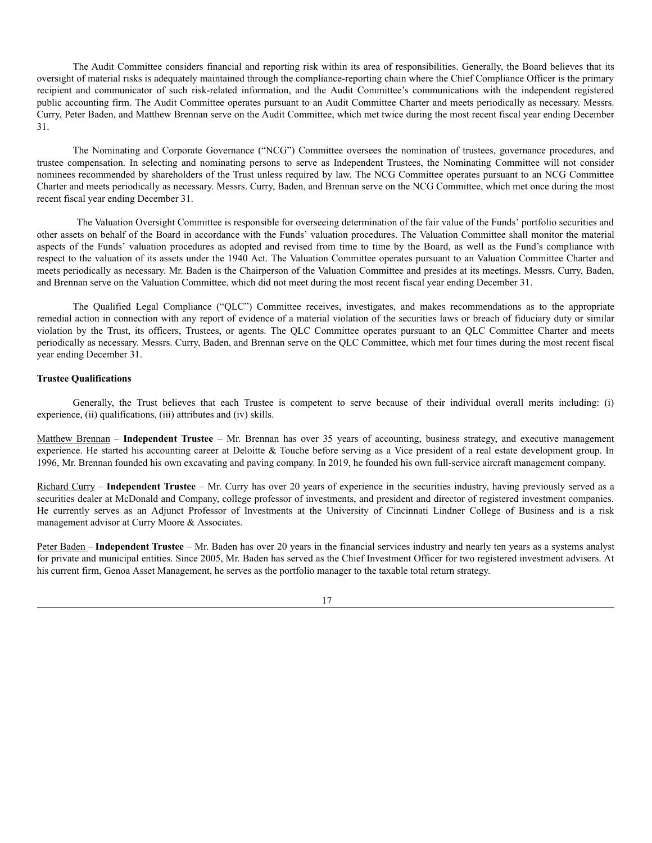The Audit Committee considers financial and reporting risk within its area of responsibilities. Generally, the Board believes that its oversight of material risks is adequately maintained through the compliance-reporting chain where the Chief Compliance Officer is the primary recipient and communicator of such risk-related information, and the Audit Committee's communications with the independent registered public accounting firm. The Audit Committee operates pursuant to an Audit Committee Charter and meets periodically as necessary. Messrs. Curry, Peter Baden, and Matthew Brennan serve on the Audit Committee, which met twice during the most recent fiscal year ending December 31.

The Nominating and Corporate Governance ("NCG") Committee oversees the nomination of trustees, governance procedures, and trustee compensation. In selecting and nominating persons to serve as Independent Trustees, the Nominating Committee will not consider nominees recommended by shareholders of the Trust unless required by law. The NCG Committee operates pursuant to an NCG Committee Charter and meets periodically as necessary. Messrs. Curry, Baden, and Brennan serve on the NCG Committee, which met once during the most recent fiscal year ending December 31.

The Valuation Oversight Committee is responsible for overseeing determination of the fair value of the Funds' portfolio securities and other assets on behalf of the Board in accordance with the Funds' valuation procedures. The Valuation Committee shall monitor the material aspects of the Funds' valuation procedures as adopted and revised from time to time by the Board, as well as the Fund's compliance with respect to the valuation of its assets under the 1940 Act. The Valuation Committee operates pursuant to an Valuation Committee Charter and meets periodically as necessary. Mr. Baden is the Chairperson of the Valuation Committee and presides at its meetings. Messrs. Curry, Baden, and Brennan serve on the Valuation Committee, which did not meet during the most recent fiscal year ending December 31.

The Qualified Legal Compliance ("QLC") Committee receives, investigates, and makes recommendations as to the appropriate remedial action in connection with any report of evidence of a material violation of the securities laws or breach of fiduciary duty or similar violation by the Trust, its officers, Trustees, or agents. The QLC Committee operates pursuant to an QLC Committee Charter and meets periodically as necessary. Messrs. Curry, Baden, and Brennan serve on the QLC Committee, which met four times during the most recent fiscal year ending December 31.

### **Trustee Qualifications**

Generally, the Trust believes that each Trustee is competent to serve because of their individual overall merits including: (i) experience, (ii) qualifications, (iii) attributes and (iv) skills.

Matthew Brennan – **Independent Trustee** – Mr. Brennan has over 35 years of accounting, business strategy, and executive management experience. He started his accounting career at Deloitte & Touche before serving as a Vice president of a real estate development group. In 1996, Mr. Brennan founded his own excavating and paving company. In 2019, he founded his own full-service aircraft management company.

Richard Curry – **Independent Trustee** – Mr. Curry has over 20 years of experience in the securities industry, having previously served as a securities dealer at McDonald and Company, college professor of investments, and president and director of registered investment companies. He currently serves as an Adjunct Professor of Investments at the University of Cincinnati Lindner College of Business and is a risk management advisor at Curry Moore & Associates.

Peter Baden – **Independent Trustee** – Mr. Baden has over 20 years in the financial services industry and nearly ten years as a systems analyst for private and municipal entities. Since 2005, Mr. Baden has served as the Chief Investment Officer for two registered investment advisers. At his current firm, Genoa Asset Management, he serves as the portfolio manager to the taxable total return strategy.

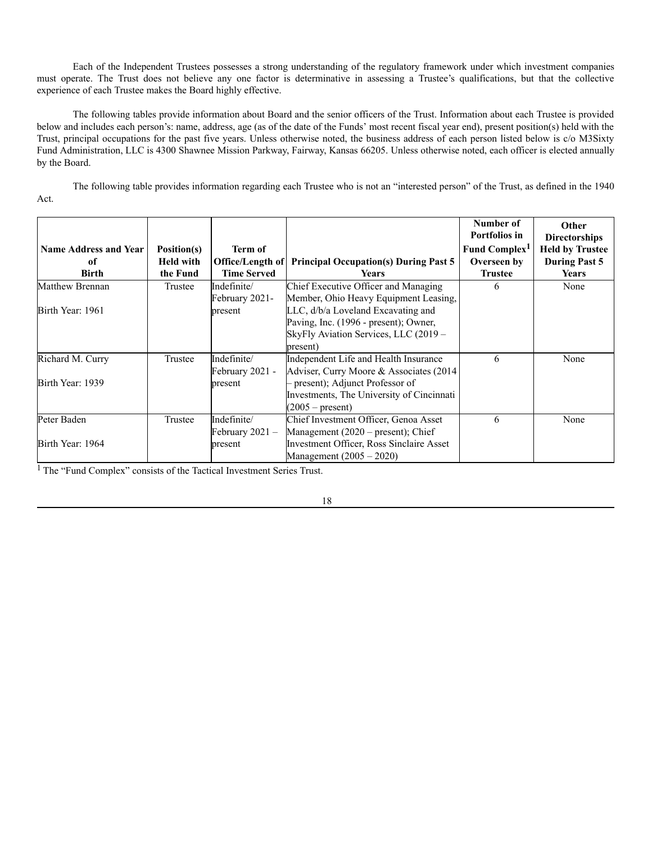Each of the Independent Trustees possesses a strong understanding of the regulatory framework under which investment companies must operate. The Trust does not believe any one factor is determinative in assessing a Trustee's qualifications, but that the collective experience of each Trustee makes the Board highly effective.

The following tables provide information about Board and the senior officers of the Trust. Information about each Trustee is provided below and includes each person's: name, address, age (as of the date of the Funds' most recent fiscal year end), present position(s) held with the Trust, principal occupations for the past five years. Unless otherwise noted, the business address of each person listed below is c/o M3Sixty Fund Administration, LLC is 4300 Shawnee Mission Parkway, Fairway, Kansas 66205. Unless otherwise noted, each officer is elected annually by the Board.

The following table provides information regarding each Trustee who is not an "interested person" of the Trust, as defined in the 1940 Act.

| <b>Name Address and Year</b> | Position(s)      | Term of            |                                              | Number of<br>Portfolios in<br>Fund Complex <sup>1</sup> | <b>Other</b><br><b>Directorships</b><br><b>Held by Trustee</b> |
|------------------------------|------------------|--------------------|----------------------------------------------|---------------------------------------------------------|----------------------------------------------------------------|
| <sub>of</sub>                | <b>Held with</b> | Office/Length of   | <b>Principal Occupation(s) During Past 5</b> | Overseen by                                             | <b>During Past 5</b>                                           |
| Birth                        | the Fund         | <b>Time Served</b> | <b>Years</b>                                 | <b>Trustee</b>                                          | <b>Years</b>                                                   |
| Matthew Brennan              | Trustee          | Indefinite/        | Chief Executive Officer and Managing         | 6                                                       | None                                                           |
|                              |                  | February 2021-     | Member, Ohio Heavy Equipment Leasing,        |                                                         |                                                                |
| Birth Year: 1961             |                  | present            | LLC, d/b/a Loveland Excavating and           |                                                         |                                                                |
|                              |                  |                    | Paving, Inc. (1996 - present); Owner,        |                                                         |                                                                |
|                              |                  |                    | SkyFly Aviation Services, LLC (2019 –        |                                                         |                                                                |
|                              |                  |                    | present)                                     |                                                         |                                                                |
| Richard M. Curry             | Trustee          | Indefinite/        | Independent Life and Health Insurance        | 6                                                       | None                                                           |
|                              |                  | February 2021 -    | Adviser, Curry Moore & Associates (2014)     |                                                         |                                                                |
| Birth Year: 1939             |                  | present            | - present); Adjunct Professor of             |                                                         |                                                                |
|                              |                  |                    | Investments, The University of Cincinnati    |                                                         |                                                                |
|                              |                  |                    | $(2005 - present)$                           |                                                         |                                                                |
| Peter Baden                  | Trustee          | Indefinite/        | Chief Investment Officer, Genoa Asset        | 6                                                       | None                                                           |
|                              |                  | February $2021 -$  | Management (2020 – present); Chief           |                                                         |                                                                |
| Birth Year: 1964             |                  | present            | Investment Officer, Ross Sinclaire Asset     |                                                         |                                                                |
|                              |                  |                    | Management $(2005 - 2020)$                   |                                                         |                                                                |

<sup>1</sup> The "Fund Complex" consists of the Tactical Investment Series Trust.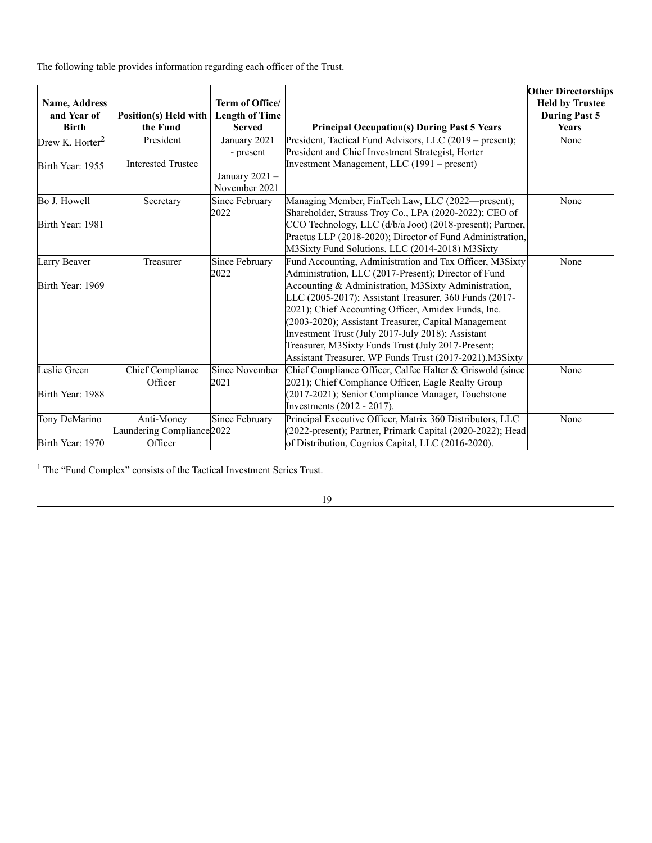The following table provides information regarding each officer of the Trust.

| <b>Name, Address</b><br>and Year of | <b>Position(s) Held with</b>          | Term of Office/<br><b>Length of Time</b> |                                                            | <b>Other Directorships</b><br><b>Held by Trustee</b><br><b>During Past 5</b> |
|-------------------------------------|---------------------------------------|------------------------------------------|------------------------------------------------------------|------------------------------------------------------------------------------|
| <b>Birth</b>                        | the Fund                              | <b>Served</b>                            | <b>Principal Occupation(s) During Past 5 Years</b>         | <b>Years</b>                                                                 |
| Drew K. Horter <sup>2</sup>         | President                             | January 2021                             | President, Tactical Fund Advisors, LLC (2019 – present);   | None                                                                         |
|                                     |                                       | - present                                | President and Chief Investment Strategist, Horter          |                                                                              |
| Birth Year: 1955                    | <b>Interested Trustee</b>             |                                          | Investment Management, LLC (1991 – present)                |                                                                              |
|                                     |                                       | January $2021 -$                         |                                                            |                                                                              |
|                                     |                                       | November 2021                            |                                                            |                                                                              |
| Bo J. Howell                        | Secretary                             | Since February                           | Managing Member, FinTech Law, LLC (2022—present);          | None                                                                         |
|                                     |                                       | 2022                                     | Shareholder, Strauss Troy Co., LPA (2020-2022); CEO of     |                                                                              |
| Birth Year: 1981                    |                                       |                                          | CCO Technology, LLC (d/b/a Joot) (2018-present); Partner,  |                                                                              |
|                                     |                                       |                                          | Practus LLP (2018-2020); Director of Fund Administration,  |                                                                              |
|                                     |                                       |                                          | M3Sixty Fund Solutions, LLC (2014-2018) M3Sixty            |                                                                              |
| Larry Beaver                        | Treasurer                             | Since February                           | Fund Accounting, Administration and Tax Officer, M3Sixty   | None                                                                         |
|                                     |                                       | 2022                                     | Administration, LLC (2017-Present); Director of Fund       |                                                                              |
| Birth Year: 1969                    |                                       |                                          | Accounting & Administration, M3Sixty Administration,       |                                                                              |
|                                     |                                       |                                          | LLC (2005-2017); Assistant Treasurer, 360 Funds (2017-     |                                                                              |
|                                     |                                       |                                          | 2021); Chief Accounting Officer, Amidex Funds, Inc.        |                                                                              |
|                                     |                                       |                                          | (2003-2020); Assistant Treasurer, Capital Management       |                                                                              |
|                                     |                                       |                                          | Investment Trust (July 2017-July 2018); Assistant          |                                                                              |
|                                     |                                       |                                          | Treasurer, M3Sixty Funds Trust (July 2017-Present;         |                                                                              |
|                                     |                                       |                                          | Assistant Treasurer, WP Funds Trust (2017-2021).M3Sixty    |                                                                              |
| Leslie Green                        | Chief Compliance                      | <b>Since November</b>                    | Chief Compliance Officer, Calfee Halter & Griswold (since  | None                                                                         |
|                                     | Officer                               | 2021                                     | 2021); Chief Compliance Officer, Eagle Realty Group        |                                                                              |
| Birth Year: 1988                    |                                       |                                          | (2017-2021); Senior Compliance Manager, Touchstone         |                                                                              |
|                                     |                                       |                                          | Investments $(2012 - 2017)$ .                              |                                                                              |
| Tony DeMarino                       | Anti-Money                            | Since February                           | Principal Executive Officer, Matrix 360 Distributors, LLC  | None                                                                         |
|                                     | Laundering Compliance <sup>2022</sup> |                                          | (2022-present); Partner, Primark Capital (2020-2022); Head |                                                                              |
| Birth Year: 1970                    | Officer                               |                                          | of Distribution, Cognios Capital, LLC (2016-2020).         |                                                                              |

<sup>1</sup> The "Fund Complex" consists of the Tactical Investment Series Trust.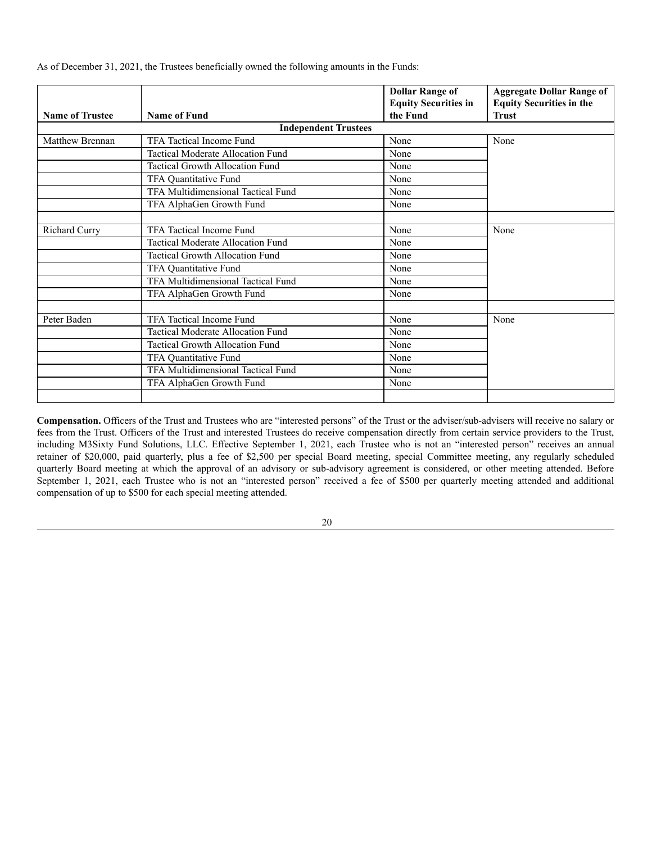|                        |                                   | <b>Dollar Range of</b>      | <b>Aggregate Dollar Range of</b> |  |
|------------------------|-----------------------------------|-----------------------------|----------------------------------|--|
|                        |                                   | <b>Equity Securities in</b> | <b>Equity Securities in the</b>  |  |
| <b>Name of Trustee</b> | Name of Fund                      | the Fund                    | <b>Trust</b>                     |  |
|                        | <b>Independent Trustees</b>       |                             |                                  |  |
| Matthew Brennan        | TFA Tactical Income Fund          | None                        | None                             |  |
|                        | Tactical Moderate Allocation Fund | None                        |                                  |  |

Tactical Growth Allocation Fund None TFA Quantitative Fund None TFA Multidimensional Tactical Fund None TFA AlphaGen Growth Fund None

Richard Curry TFA Tactical Income Fund None None None None None Tactical Moderate Allocation Fund None Tactical Growth Allocation Fund None TFA Quantitative Fund None TFA Multidimensional Tactical Fund None TFA AlphaGen Growth Fund None

Peter Baden TFA Tactical Income Fund None None None None Tactical Moderate Allocation Fund None Tactical Growth Allocation Fund None TFA Quantitative Fund None TFA Multidimensional Tactical Fund None TFA AlphaGen Growth Fund None

As of December 31, 2021, the Trustees beneficially owned the following amounts in the Funds:

**Compensation.** Officers of the Trust and Trustees who are "interested persons" of the Trust or the adviser/sub-advisers will receive no salary or fees from the Trust. Officers of the Trust and interested Trustees do receive compensation directly from certain service providers to the Trust, including M3Sixty Fund Solutions, LLC. Effective September 1, 2021, each Trustee who is not an "interested person" receives an annual retainer of \$20,000, paid quarterly, plus a fee of \$2,500 per special Board meeting, special Committee meeting, any regularly scheduled quarterly Board meeting at which the approval of an advisory or sub-advisory agreement is considered, or other meeting attended. Before September 1, 2021, each Trustee who is not an "interested person" received a fee of \$500 per quarterly meeting attended and additional compensation of up to \$500 for each special meeting attended.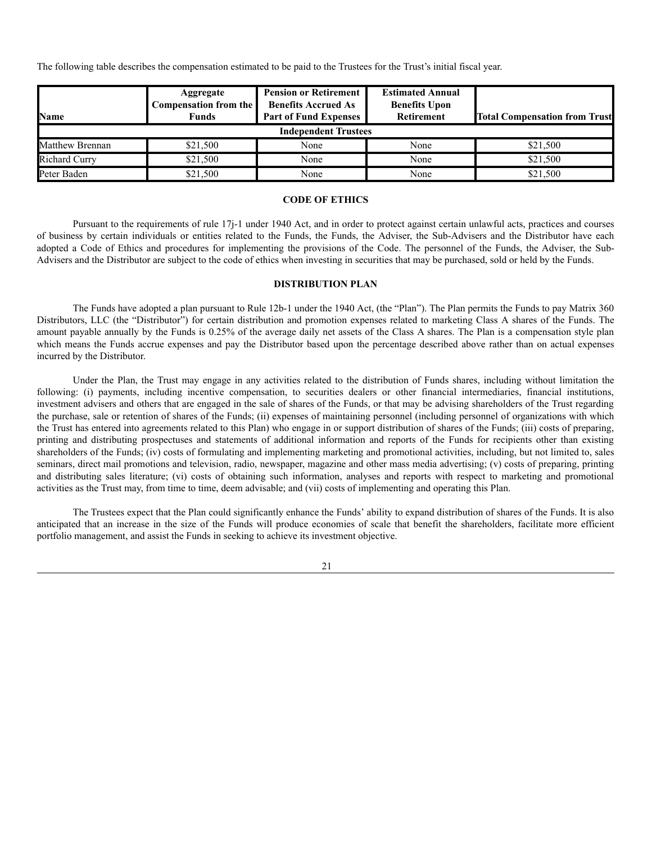The following table describes the compensation estimated to be paid to the Trustees for the Trust's initial fiscal year.

| <b>Name</b>          | Aggregate<br><b>Compensation from the</b><br>Funds | <b>Pension or Retirement</b><br><b>Benefits Accrued As</b><br><b>Part of Fund Expenses</b> | <b>Estimated Annual</b><br><b>Benefits Upon</b><br>Retirement | <b>Total Compensation from Trust</b> |  |  |
|----------------------|----------------------------------------------------|--------------------------------------------------------------------------------------------|---------------------------------------------------------------|--------------------------------------|--|--|
|                      | <b>Independent Trustees</b>                        |                                                                                            |                                                               |                                      |  |  |
| Matthew Brennan      | \$21,500                                           | None                                                                                       | None                                                          | \$21,500                             |  |  |
| <b>Richard Curry</b> | \$21,500                                           | None                                                                                       | None                                                          | \$21,500                             |  |  |
| Peter Baden          | \$21,500                                           | None                                                                                       | None                                                          | \$21,500                             |  |  |

### **CODE OF ETHICS**

<span id="page-20-0"></span>Pursuant to the requirements of rule 17j-1 under 1940 Act, and in order to protect against certain unlawful acts, practices and courses of business by certain individuals or entities related to the Funds, the Funds, the Adviser, the Sub-Advisers and the Distributor have each adopted a Code of Ethics and procedures for implementing the provisions of the Code. The personnel of the Funds, the Adviser, the Sub-Advisers and the Distributor are subject to the code of ethics when investing in securities that may be purchased, sold or held by the Funds.

## **DISTRIBUTION PLAN**

<span id="page-20-1"></span>The Funds have adopted a plan pursuant to Rule 12b-1 under the 1940 Act, (the "Plan"). The Plan permits the Funds to pay Matrix 360 Distributors, LLC (the "Distributor") for certain distribution and promotion expenses related to marketing Class A shares of the Funds. The amount payable annually by the Funds is 0.25% of the average daily net assets of the Class A shares. The Plan is a compensation style plan which means the Funds accrue expenses and pay the Distributor based upon the percentage described above rather than on actual expenses incurred by the Distributor.

Under the Plan, the Trust may engage in any activities related to the distribution of Funds shares, including without limitation the following: (i) payments, including incentive compensation, to securities dealers or other financial intermediaries, financial institutions, investment advisers and others that are engaged in the sale of shares of the Funds, or that may be advising shareholders of the Trust regarding the purchase, sale or retention of shares of the Funds; (ii) expenses of maintaining personnel (including personnel of organizations with which the Trust has entered into agreements related to this Plan) who engage in or support distribution of shares of the Funds; (iii) costs of preparing, printing and distributing prospectuses and statements of additional information and reports of the Funds for recipients other than existing shareholders of the Funds; (iv) costs of formulating and implementing marketing and promotional activities, including, but not limited to, sales seminars, direct mail promotions and television, radio, newspaper, magazine and other mass media advertising; (v) costs of preparing, printing and distributing sales literature; (vi) costs of obtaining such information, analyses and reports with respect to marketing and promotional activities as the Trust may, from time to time, deem advisable; and (vii) costs of implementing and operating this Plan.

The Trustees expect that the Plan could significantly enhance the Funds' ability to expand distribution of shares of the Funds. It is also anticipated that an increase in the size of the Funds will produce economies of scale that benefit the shareholders, facilitate more efficient portfolio management, and assist the Funds in seeking to achieve its investment objective.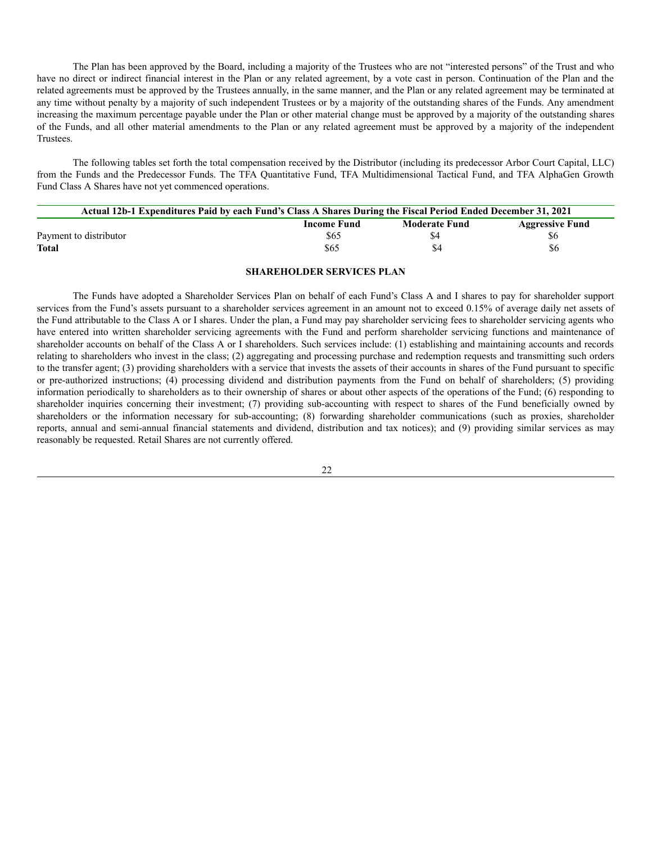The Plan has been approved by the Board, including a majority of the Trustees who are not "interested persons" of the Trust and who have no direct or indirect financial interest in the Plan or any related agreement, by a vote cast in person. Continuation of the Plan and the related agreements must be approved by the Trustees annually, in the same manner, and the Plan or any related agreement may be terminated at any time without penalty by a majority of such independent Trustees or by a majority of the outstanding shares of the Funds. Any amendment increasing the maximum percentage payable under the Plan or other material change must be approved by a majority of the outstanding shares of the Funds, and all other material amendments to the Plan or any related agreement must be approved by a majority of the independent Trustees.

The following tables set forth the total compensation received by the Distributor (including its predecessor Arbor Court Capital, LLC) from the Funds and the Predecessor Funds. The TFA Quantitative Fund, TFA Multidimensional Tactical Fund, and TFA AlphaGen Growth Fund Class A Shares have not yet commenced operations.

| Actual 12b-1 Expenditures Paid by each Fund's Class A Shares During the Fiscal Period Ended December 31, 2021 |                                                                      |     |     |  |  |  |
|---------------------------------------------------------------------------------------------------------------|----------------------------------------------------------------------|-----|-----|--|--|--|
|                                                                                                               | <b>Moderate Fund</b><br><b>Aggressive Fund</b><br><b>Income Fund</b> |     |     |  |  |  |
| Payment to distributor                                                                                        | \$65                                                                 | \$4 | \$6 |  |  |  |
| <b>Total</b>                                                                                                  | \$65                                                                 | \$4 | \$6 |  |  |  |

### **SHAREHOLDER SERVICES PLAN**

<span id="page-21-0"></span>The Funds have adopted a Shareholder Services Plan on behalf of each Fund's Class A and I shares to pay for shareholder support services from the Fund's assets pursuant to a shareholder services agreement in an amount not to exceed 0.15% of average daily net assets of the Fund attributable to the Class A or I shares. Under the plan, a Fund may pay shareholder servicing fees to shareholder servicing agents who have entered into written shareholder servicing agreements with the Fund and perform shareholder servicing functions and maintenance of shareholder accounts on behalf of the Class A or I shareholders. Such services include: (1) establishing and maintaining accounts and records relating to shareholders who invest in the class; (2) aggregating and processing purchase and redemption requests and transmitting such orders to the transfer agent; (3) providing shareholders with a service that invests the assets of their accounts in shares of the Fund pursuant to specific or pre-authorized instructions; (4) processing dividend and distribution payments from the Fund on behalf of shareholders; (5) providing information periodically to shareholders as to their ownership of shares or about other aspects of the operations of the Fund; (6) responding to shareholder inquiries concerning their investment; (7) providing sub-accounting with respect to shares of the Fund beneficially owned by shareholders or the information necessary for sub-accounting; (8) forwarding shareholder communications (such as proxies, shareholder reports, annual and semi-annual financial statements and dividend, distribution and tax notices); and (9) providing similar services as may reasonably be requested. Retail Shares are not currently offered.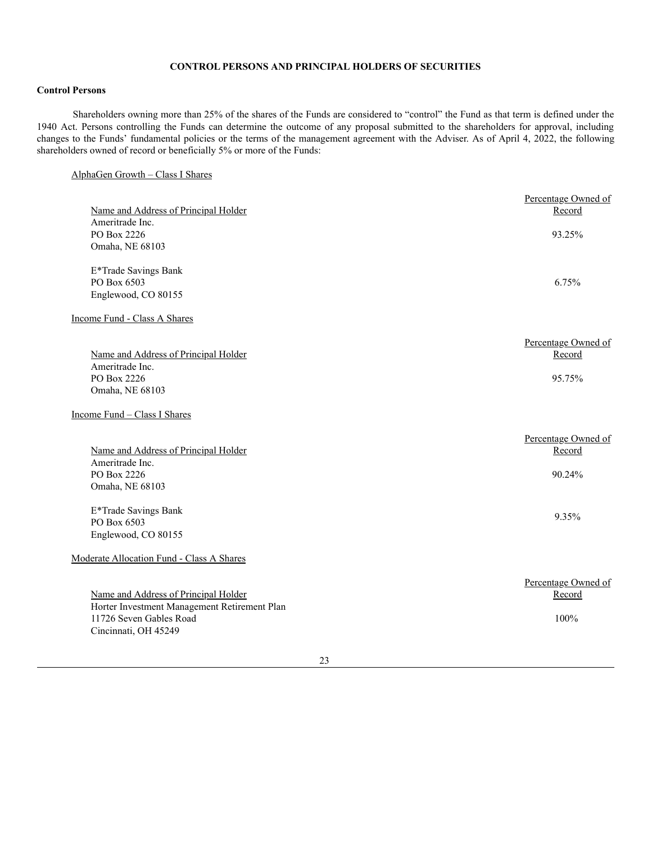# **CONTROL PERSONS AND PRINCIPAL HOLDERS OF SECURITIES**

# <span id="page-22-0"></span>**Control Persons**

Shareholders owning more than 25% of the shares of the Funds are considered to "control" the Fund as that term is defined under the 1940 Act. Persons controlling the Funds can determine the outcome of any proposal submitted to the shareholders for approval, including changes to the Funds' fundamental policies or the terms of the management agreement with the Adviser. As of April 4, 2022, the following shareholders owned of record or beneficially 5% or more of the Funds:

# AlphaGen Growth – Class I Shares

| Name and Address of Principal Holder<br>Ameritrade Inc.                                                                                 | Percentage Owned of<br>Record           |
|-----------------------------------------------------------------------------------------------------------------------------------------|-----------------------------------------|
| PO Box 2226<br>Omaha, NE 68103                                                                                                          | 93.25%                                  |
| E*Trade Savings Bank<br>PO Box 6503<br>Englewood, CO 80155                                                                              | 6.75%                                   |
| Income Fund - Class A Shares                                                                                                            |                                         |
| Name and Address of Principal Holder<br>Ameritrade Inc.<br>PO Box 2226                                                                  | Percentage Owned of<br>Record<br>95.75% |
| Omaha, NE 68103<br>Income Fund - Class I Shares                                                                                         |                                         |
| Name and Address of Principal Holder<br>Ameritrade Inc.<br>PO Box 2226<br>Omaha, NE 68103                                               | Percentage Owned of<br>Record<br>90.24% |
| E*Trade Savings Bank<br>PO Box 6503<br>Englewood, CO 80155                                                                              | 9.35%                                   |
| Moderate Allocation Fund - Class A Shares                                                                                               |                                         |
| Name and Address of Principal Holder<br>Horter Investment Management Retirement Plan<br>11726 Seven Gables Road<br>Cincinnati, OH 45249 | Percentage Owned of<br>Record<br>100%   |

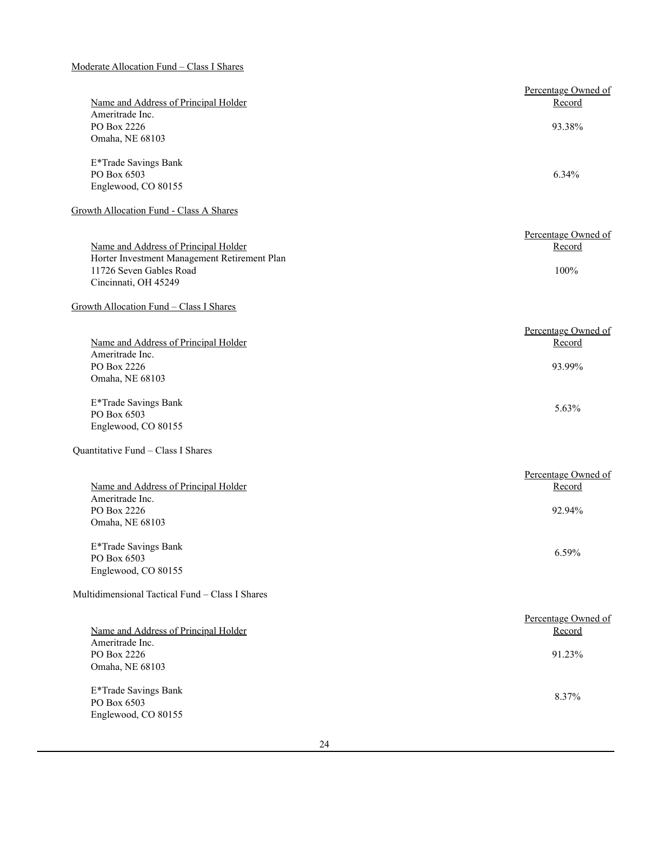# Moderate Allocation Fund – Class I Shares

|                                                 | Percentage Owned of |
|-------------------------------------------------|---------------------|
| Name and Address of Principal Holder            | Record              |
| Ameritrade Inc.                                 |                     |
| PO Box 2226                                     | 93.38%              |
| Omaha, NE 68103                                 |                     |
|                                                 |                     |
| E*Trade Savings Bank                            |                     |
| PO Box 6503                                     | 6.34%               |
| Englewood, CO 80155                             |                     |
| Growth Allocation Fund - Class A Shares         |                     |
|                                                 | Percentage Owned of |
| Name and Address of Principal Holder            | Record              |
| Horter Investment Management Retirement Plan    |                     |
| 11726 Seven Gables Road                         | 100%                |
| Cincinnati, OH 45249                            |                     |
|                                                 |                     |
| Growth Allocation Fund - Class I Shares         |                     |
|                                                 | Percentage Owned of |
| Name and Address of Principal Holder            | Record              |
| Ameritrade Inc.                                 |                     |
| PO Box 2226                                     | 93.99%              |
| Omaha, NE 68103                                 |                     |
| E*Trade Savings Bank                            |                     |
| PO Box 6503                                     | 5.63%               |
| Englewood, CO 80155                             |                     |
|                                                 |                     |
| Quantitative Fund - Class I Shares              |                     |
|                                                 | Percentage Owned of |
| Name and Address of Principal Holder            | Record              |
| Ameritrade Inc.                                 |                     |
| PO Box 2226                                     | 92.94%              |
| Omaha, NE 68103                                 |                     |
| E*Trade Savings Bank                            |                     |
| PO Box 6503                                     | 6.59%               |
| Englewood, CO 80155                             |                     |
| Multidimensional Tactical Fund - Class I Shares |                     |
|                                                 |                     |
|                                                 | Percentage Owned of |
| Name and Address of Principal Holder            | Record              |
| Ameritrade Inc.                                 |                     |
| PO Box 2226                                     | 91.23%              |
| Omaha, NE 68103                                 |                     |
| E*Trade Savings Bank                            |                     |
| PO Box 6503                                     | 8.37%               |
| Englewood, CO 80155                             |                     |
|                                                 |                     |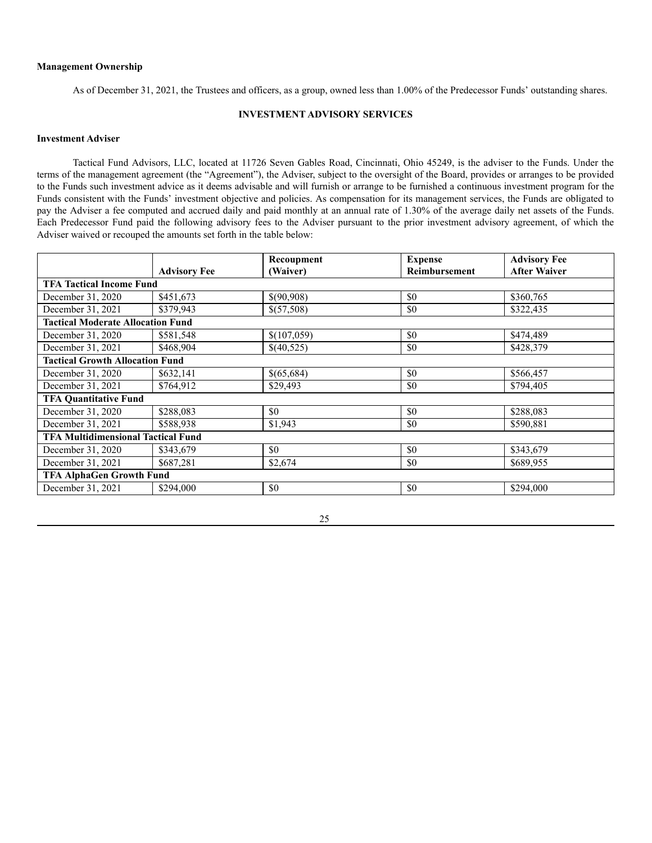### **Management Ownership**

As of December 31, 2021, the Trustees and officers, as a group, owned less than 1.00% of the Predecessor Funds' outstanding shares.

# **INVESTMENT ADVISORY SERVICES**

# <span id="page-24-0"></span>**Investment Adviser**

Tactical Fund Advisors, LLC, located at 11726 Seven Gables Road, Cincinnati, Ohio 45249, is the adviser to the Funds. Under the terms of the management agreement (the "Agreement"), the Adviser, subject to the oversight of the Board, provides or arranges to be provided to the Funds such investment advice as it deems advisable and will furnish or arrange to be furnished a continuous investment program for the Funds consistent with the Funds' investment objective and policies. As compensation for its management services, the Funds are obligated to pay the Adviser a fee computed and accrued daily and paid monthly at an annual rate of 1.30% of the average daily net assets of the Funds. Each Predecessor Fund paid the following advisory fees to the Adviser pursuant to the prior investment advisory agreement, of which the Adviser waived or recouped the amounts set forth in the table below:

|                                           |                     | Recoupment  | <b>Expense</b>       | <b>Advisory Fee</b> |  |
|-------------------------------------------|---------------------|-------------|----------------------|---------------------|--|
|                                           | <b>Advisory Fee</b> | (Waiver)    | <b>Reimbursement</b> | <b>After Waiver</b> |  |
| <b>TFA Tactical Income Fund</b>           |                     |             |                      |                     |  |
| December 31, 2020                         | \$451,673           | \$(90,908)  | \$0                  | \$360,765           |  |
| December 31, 2021                         | \$379,943           | \$(57,508)  | \$0                  | \$322,435           |  |
| <b>Tactical Moderate Allocation Fund</b>  |                     |             |                      |                     |  |
| December 31, 2020                         | \$581,548           | \$(107,059) | \$0                  | \$474,489           |  |
| December 31, 2021                         | \$468,904           | \$(40,525)  | \$0                  | \$428,379           |  |
| <b>Tactical Growth Allocation Fund</b>    |                     |             |                      |                     |  |
| December 31, 2020                         | \$632,141           | \$(65,684)  | \$0                  | \$566,457           |  |
| December 31, 2021                         | \$764,912           | \$29,493    | \$0                  | \$794,405           |  |
| <b>TFA Quantitative Fund</b>              |                     |             |                      |                     |  |
| December 31, 2020                         | \$288,083           | \$0         | \$0                  | \$288,083           |  |
| December 31, 2021                         | \$588,938           | \$1,943     | \$0                  | \$590,881           |  |
| <b>TFA Multidimensional Tactical Fund</b> |                     |             |                      |                     |  |
| December 31, 2020                         | \$343,679           | \$0         | \$0                  | \$343,679           |  |
| December 31, 2021                         | \$687,281           | \$2,674     | \$0                  | \$689,955           |  |
| <b>TFA AlphaGen Growth Fund</b>           |                     |             |                      |                     |  |
| December 31, 2021                         | \$294,000           | \$0         | \$0                  | \$294,000           |  |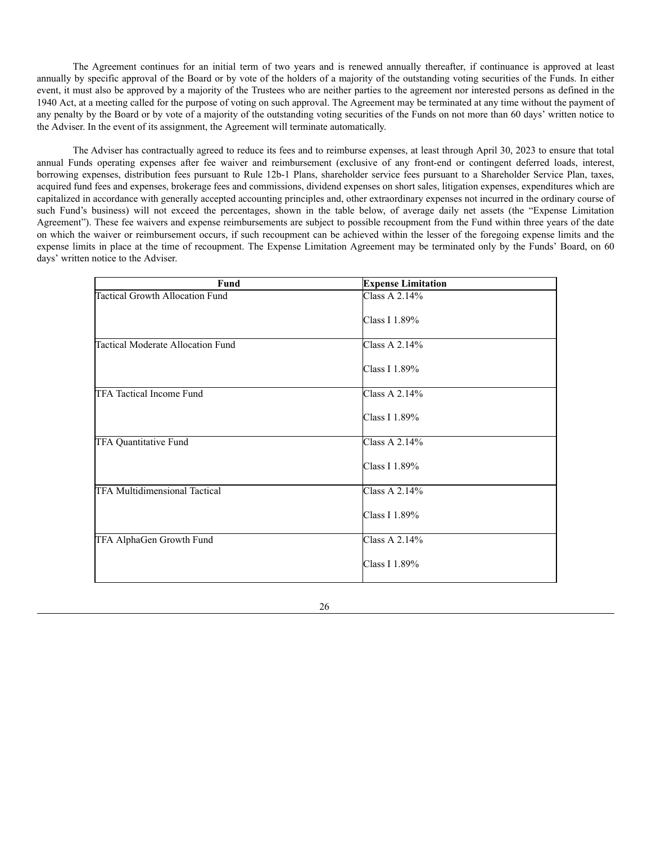The Agreement continues for an initial term of two years and is renewed annually thereafter, if continuance is approved at least annually by specific approval of the Board or by vote of the holders of a majority of the outstanding voting securities of the Funds. In either event, it must also be approved by a majority of the Trustees who are neither parties to the agreement nor interested persons as defined in the 1940 Act, at a meeting called for the purpose of voting on such approval. The Agreement may be terminated at any time without the payment of any penalty by the Board or by vote of a majority of the outstanding voting securities of the Funds on not more than 60 days' written notice to the Adviser. In the event of its assignment, the Agreement will terminate automatically.

The Adviser has contractually agreed to reduce its fees and to reimburse expenses, at least through April 30, 2023 to ensure that total annual Funds operating expenses after fee waiver and reimbursement (exclusive of any front-end or contingent deferred loads, interest, borrowing expenses, distribution fees pursuant to Rule 12b-1 Plans, shareholder service fees pursuant to a Shareholder Service Plan, taxes, acquired fund fees and expenses, brokerage fees and commissions, dividend expenses on short sales, litigation expenses, expenditures which are capitalized in accordance with generally accepted accounting principles and, other extraordinary expenses not incurred in the ordinary course of such Fund's business) will not exceed the percentages, shown in the table below, of average daily net assets (the "Expense Limitation Agreement"). These fee waivers and expense reimbursements are subject to possible recoupment from the Fund within three years of the date on which the waiver or reimbursement occurs, if such recoupment can be achieved within the lesser of the foregoing expense limits and the expense limits in place at the time of recoupment. The Expense Limitation Agreement may be terminated only by the Funds' Board, on 60 days' written notice to the Adviser.

| Fund                                     | <b>Expense Limitation</b> |
|------------------------------------------|---------------------------|
| <b>Tactical Growth Allocation Fund</b>   | Class A $2.14%$           |
|                                          | Class I 1.89%             |
| <b>Tactical Moderate Allocation Fund</b> | Class A 2.14%             |
|                                          | Class I 1.89%             |
| TFA Tactical Income Fund                 | Class A 2.14%             |
|                                          | Class I 1.89%             |
| TFA Quantitative Fund                    | Class A 2.14%             |
|                                          | Class I 1.89%             |
| <b>TFA Multidimensional Tactical</b>     | Class A 2.14%             |
|                                          | Class I 1.89%             |
| TFA AlphaGen Growth Fund                 | Class A 2.14%             |
|                                          | Class I 1.89%             |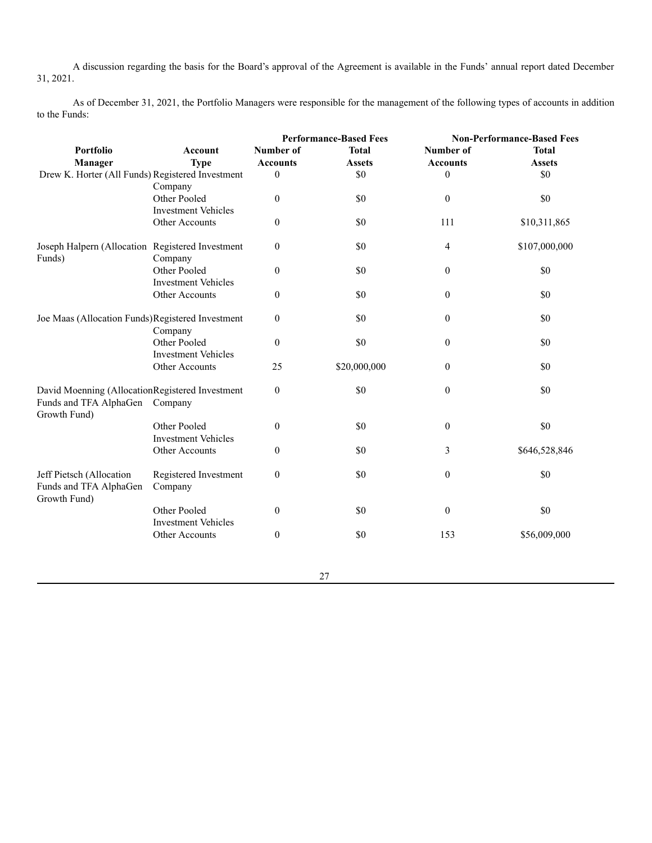A discussion regarding the basis for the Board's approval of the Agreement is available in the Funds' annual report dated December 31, 2021.

As of December 31, 2021, the Portfolio Managers were responsible for the management of the following types of accounts in addition to the Funds:

|                                                  |                            | <b>Performance-Based Fees</b> |               | <b>Non-Performance-Based Fees</b> |               |
|--------------------------------------------------|----------------------------|-------------------------------|---------------|-----------------------------------|---------------|
| <b>Portfolio</b>                                 | <b>Account</b>             | Number of                     | <b>Total</b>  | Number of                         | <b>Total</b>  |
| Manager                                          | <b>Type</b>                | <b>Accounts</b>               | <b>Assets</b> | <b>Accounts</b>                   | <b>Assets</b> |
| Drew K. Horter (All Funds) Registered Investment |                            | $\theta$                      | \$0           | $\boldsymbol{0}$                  | \$0           |
|                                                  | Company                    |                               |               |                                   |               |
|                                                  | Other Pooled               | $\boldsymbol{0}$              | \$0           | $\boldsymbol{0}$                  | \$0           |
|                                                  | <b>Investment Vehicles</b> |                               |               |                                   |               |
|                                                  | Other Accounts             | $\boldsymbol{0}$              | \$0           | 111                               | \$10,311,865  |
| Joseph Halpern (Allocation Registered Investment |                            | $\boldsymbol{0}$              | \$0           | 4                                 | \$107,000,000 |
| Funds)                                           | Company<br>Other Pooled    |                               | \$0           |                                   | \$0           |
|                                                  | <b>Investment Vehicles</b> | $\theta$                      |               | $\boldsymbol{0}$                  |               |
|                                                  | Other Accounts             | $\boldsymbol{0}$              | \$0           | $\boldsymbol{0}$                  | \$0           |
|                                                  |                            |                               |               |                                   |               |
| Joe Maas (Allocation Funds)Registered Investment |                            | $\theta$                      | \$0           | $\boldsymbol{0}$                  | \$0           |
|                                                  | Company                    |                               |               |                                   |               |
|                                                  | Other Pooled               | $\boldsymbol{0}$              | \$0           | $\boldsymbol{0}$                  | \$0           |
|                                                  | <b>Investment Vehicles</b> |                               |               |                                   |               |
|                                                  | Other Accounts             | 25                            | \$20,000,000  | $\boldsymbol{0}$                  | \$0           |
| David Moenning (AllocationRegistered Investment  |                            | $\boldsymbol{0}$              | \$0           | $\boldsymbol{0}$                  | \$0           |
| Funds and TFA AlphaGen<br>Growth Fund)           | Company                    |                               |               |                                   |               |
|                                                  | Other Pooled               | $\theta$                      | \$0           | $\boldsymbol{0}$                  | \$0           |
|                                                  | <b>Investment Vehicles</b> |                               |               |                                   |               |
|                                                  | Other Accounts             | $\boldsymbol{0}$              | \$0           | 3                                 | \$646,528,846 |
| Jeff Pietsch (Allocation                         | Registered Investment      | $\theta$                      | \$0           | $\boldsymbol{0}$                  | \$0           |
| Funds and TFA AlphaGen<br>Growth Fund)           | Company                    |                               |               |                                   |               |
|                                                  | Other Pooled               | $\boldsymbol{0}$              | \$0           | $\boldsymbol{0}$                  | \$0           |
|                                                  | <b>Investment Vehicles</b> |                               |               |                                   |               |
|                                                  | Other Accounts             | $\boldsymbol{0}$              | \$0           | 153                               | \$56,009,000  |
|                                                  |                            |                               |               |                                   |               |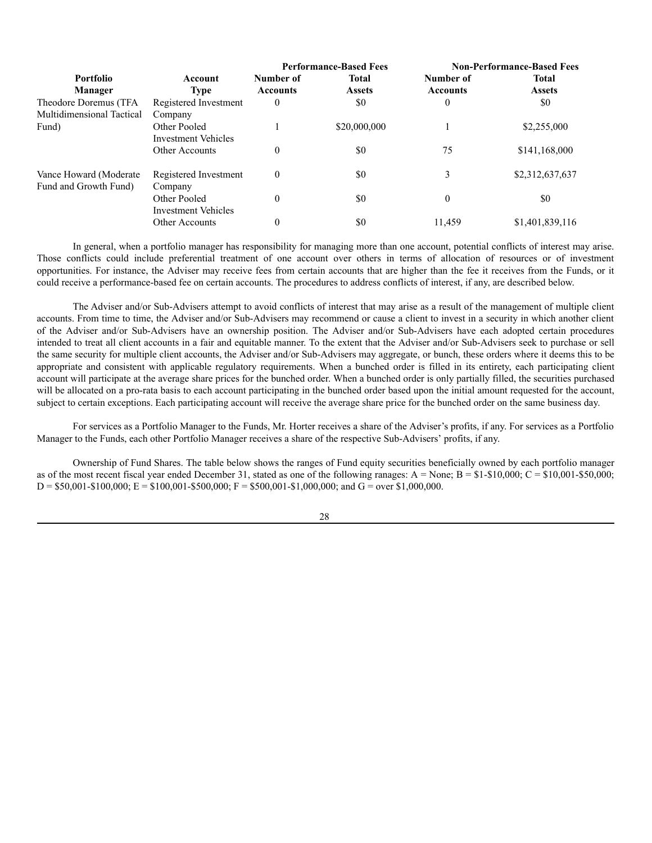|                           |                            | <b>Performance-Based Fees</b> |               | <b>Non-Performance-Based Fees</b> |                 |
|---------------------------|----------------------------|-------------------------------|---------------|-----------------------------------|-----------------|
| <b>Portfolio</b>          | Account                    | Number of                     | <b>Total</b>  | Number of                         | <b>Total</b>    |
| Manager                   | <b>Type</b>                | <b>Accounts</b>               | <b>Assets</b> | <b>Accounts</b>                   | <b>Assets</b>   |
| Theodore Doremus (TFA     | Registered Investment      | 0                             | \$0           | $\theta$                          | \$0             |
| Multidimensional Tactical | Company                    |                               |               |                                   |                 |
| Fund)                     | Other Pooled               |                               | \$20,000,000  |                                   | \$2,255,000     |
|                           | Investment Vehicles        |                               |               |                                   |                 |
|                           | Other Accounts             | $\theta$                      | \$0           | 75                                | \$141,168,000   |
| Vance Howard (Moderate    | Registered Investment      | $\theta$                      | \$0           | 3                                 | \$2,312,637,637 |
| Fund and Growth Fund)     | Company                    |                               |               |                                   |                 |
|                           | Other Pooled               | $\theta$                      | \$0           | $\overline{0}$                    | \$0             |
|                           | <b>Investment Vehicles</b> |                               |               |                                   |                 |
|                           | Other Accounts             | $\theta$                      | \$0           | 11.459                            | \$1,401,839,116 |

In general, when a portfolio manager has responsibility for managing more than one account, potential conflicts of interest may arise. Those conflicts could include preferential treatment of one account over others in terms of allocation of resources or of investment opportunities. For instance, the Adviser may receive fees from certain accounts that are higher than the fee it receives from the Funds, or it could receive a performance-based fee on certain accounts. The procedures to address conflicts of interest, if any, are described below.

The Adviser and/or Sub-Advisers attempt to avoid conflicts of interest that may arise as a result of the management of multiple client accounts. From time to time, the Adviser and/or Sub-Advisers may recommend or cause a client to invest in a security in which another client of the Adviser and/or Sub-Advisers have an ownership position. The Adviser and/or Sub-Advisers have each adopted certain procedures intended to treat all client accounts in a fair and equitable manner. To the extent that the Adviser and/or Sub-Advisers seek to purchase or sell the same security for multiple client accounts, the Adviser and/or Sub-Advisers may aggregate, or bunch, these orders where it deems this to be appropriate and consistent with applicable regulatory requirements. When a bunched order is filled in its entirety, each participating client account will participate at the average share prices for the bunched order. When a bunched order is only partially filled, the securities purchased will be allocated on a pro-rata basis to each account participating in the bunched order based upon the initial amount requested for the account, subject to certain exceptions. Each participating account will receive the average share price for the bunched order on the same business day.

For services as a Portfolio Manager to the Funds, Mr. Horter receives a share of the Adviser's profits, if any. For services as a Portfolio Manager to the Funds, each other Portfolio Manager receives a share of the respective Sub-Advisers' profits, if any.

Ownership of Fund Shares. The table below shows the ranges of Fund equity securities beneficially owned by each portfolio manager as of the most recent fiscal year ended December 31, stated as one of the following ranages:  $A = None$ ;  $B = $1-$0,000$ ;  $C = $10,001-$50,000$ ;  $D = $50,001 - $100,000; E = $100,001 - $500,000; F = $500,001 - $1,000,000;$  and  $G = over $1,000,000.$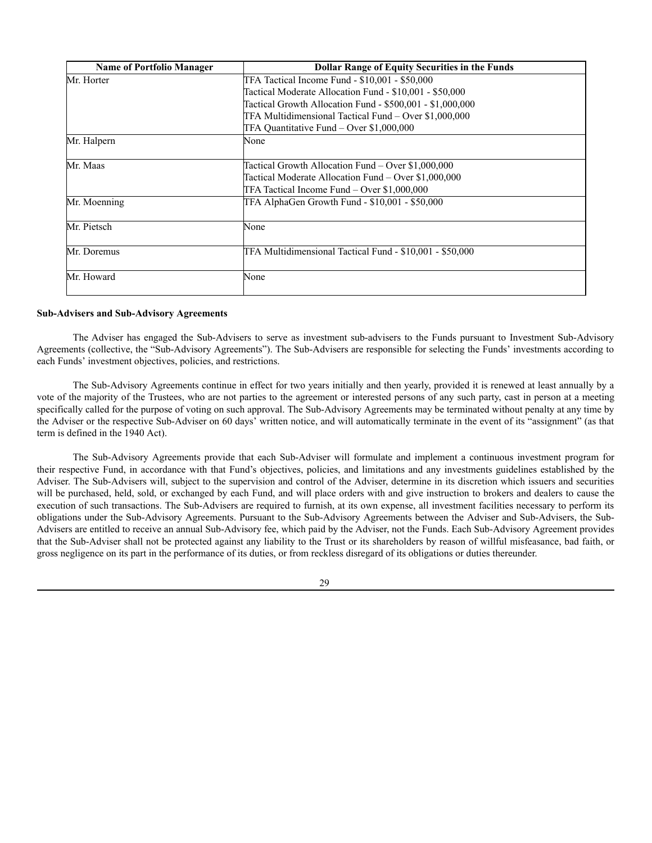| <b>Name of Portfolio Manager</b> | <b>Dollar Range of Equity Securities in the Funds</b>     |
|----------------------------------|-----------------------------------------------------------|
| Mr. Horter                       | TFA Tactical Income Fund - \$10,001 - \$50,000            |
|                                  | Tactical Moderate Allocation Fund - \$10,001 - \$50,000   |
|                                  | Tactical Growth Allocation Fund - \$500,001 - \$1,000,000 |
|                                  | TFA Multidimensional Tactical Fund – Over \$1,000,000     |
|                                  | TFA Quantitative Fund – Over \$1,000,000                  |
| Mr. Halpern                      | None                                                      |
| Mr. Maas                         | Tactical Growth Allocation Fund – Over \$1,000,000        |
|                                  | Tactical Moderate Allocation Fund – Over \$1,000,000      |
|                                  | TFA Tactical Income Fund – Over \$1,000,000               |
| Mr. Moenning                     | TFA AlphaGen Growth Fund - \$10,001 - \$50,000            |
| Mr. Pietsch                      | None                                                      |
| Mr. Doremus                      | TFA Multidimensional Tactical Fund - \$10,001 - \$50,000  |
| Mr. Howard                       | None                                                      |

## **Sub-Advisers and Sub-Advisory Agreements**

The Adviser has engaged the Sub-Advisers to serve as investment sub-advisers to the Funds pursuant to Investment Sub-Advisory Agreements (collective, the "Sub-Advisory Agreements"). The Sub-Advisers are responsible for selecting the Funds' investments according to each Funds' investment objectives, policies, and restrictions.

The Sub-Advisory Agreements continue in effect for two years initially and then yearly, provided it is renewed at least annually by a vote of the majority of the Trustees, who are not parties to the agreement or interested persons of any such party, cast in person at a meeting specifically called for the purpose of voting on such approval. The Sub-Advisory Agreements may be terminated without penalty at any time by the Adviser or the respective Sub-Adviser on 60 days' written notice, and will automatically terminate in the event of its "assignment" (as that term is defined in the 1940 Act).

The Sub-Advisory Agreements provide that each Sub-Adviser will formulate and implement a continuous investment program for their respective Fund, in accordance with that Fund's objectives, policies, and limitations and any investments guidelines established by the Adviser. The Sub-Advisers will, subject to the supervision and control of the Adviser, determine in its discretion which issuers and securities will be purchased, held, sold, or exchanged by each Fund, and will place orders with and give instruction to brokers and dealers to cause the execution of such transactions. The Sub-Advisers are required to furnish, at its own expense, all investment facilities necessary to perform its obligations under the Sub-Advisory Agreements. Pursuant to the Sub-Advisory Agreements between the Adviser and Sub-Advisers, the Sub-Advisers are entitled to receive an annual Sub-Advisory fee, which paid by the Adviser, not the Funds. Each Sub-Advisory Agreement provides that the Sub-Adviser shall not be protected against any liability to the Trust or its shareholders by reason of willful misfeasance, bad faith, or gross negligence on its part in the performance of its duties, or from reckless disregard of its obligations or duties thereunder.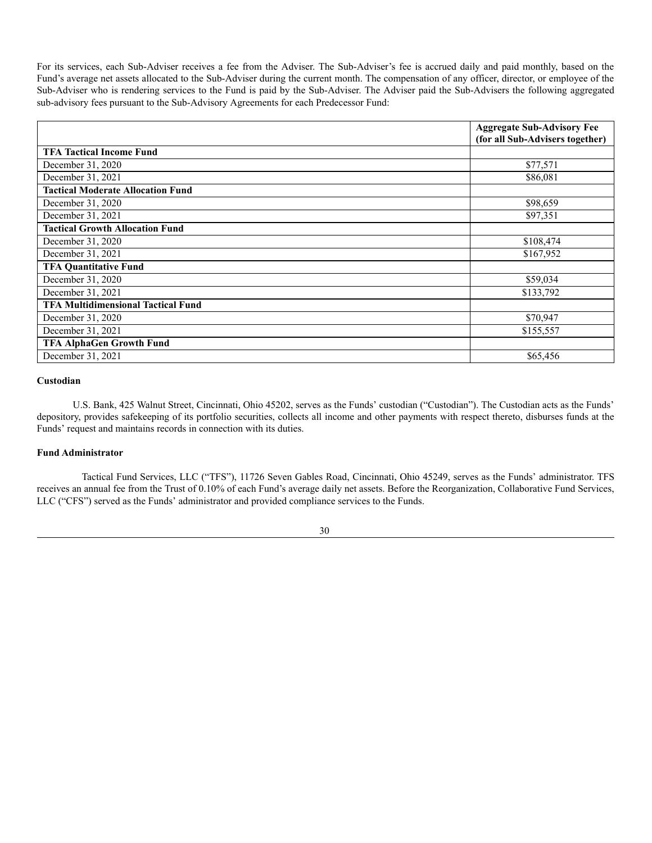For its services, each Sub-Adviser receives a fee from the Adviser. The Sub-Adviser's fee is accrued daily and paid monthly, based on the Fund's average net assets allocated to the Sub-Adviser during the current month. The compensation of any officer, director, or employee of the Sub-Adviser who is rendering services to the Fund is paid by the Sub-Adviser. The Adviser paid the Sub-Advisers the following aggregated sub-advisory fees pursuant to the Sub-Advisory Agreements for each Predecessor Fund:

|                                           | <b>Aggregate Sub-Advisory Fee</b> |
|-------------------------------------------|-----------------------------------|
|                                           | (for all Sub-Advisers together)   |
| <b>TFA Tactical Income Fund</b>           |                                   |
| December 31, 2020                         | \$77,571                          |
| December 31, 2021                         | \$86,081                          |
| <b>Tactical Moderate Allocation Fund</b>  |                                   |
| December 31, 2020                         | \$98,659                          |
| December 31, 2021                         | \$97,351                          |
| <b>Tactical Growth Allocation Fund</b>    |                                   |
| December 31, 2020                         | \$108,474                         |
| December 31, 2021                         | \$167,952                         |
| <b>TFA Quantitative Fund</b>              |                                   |
| December 31, 2020                         | \$59,034                          |
| December 31, 2021                         | \$133,792                         |
| <b>TFA Multidimensional Tactical Fund</b> |                                   |
| December 31, 2020                         | \$70,947                          |
| December 31, 2021                         | \$155,557                         |
| <b>TFA AlphaGen Growth Fund</b>           |                                   |
| December 31, 2021                         | \$65,456                          |

# **Custodian**

U.S. Bank, 425 Walnut Street, Cincinnati, Ohio 45202, serves as the Funds' custodian ("Custodian"). The Custodian acts as the Funds' depository, provides safekeeping of its portfolio securities, collects all income and other payments with respect thereto, disburses funds at the Funds' request and maintains records in connection with its duties.

## **Fund Administrator**

Tactical Fund Services, LLC ("TFS"), 11726 Seven Gables Road, Cincinnati, Ohio 45249, serves as the Funds' administrator. TFS receives an annual fee from the Trust of 0.10% of each Fund's average daily net assets. Before the Reorganization, Collaborative Fund Services, LLC ("CFS") served as the Funds' administrator and provided compliance services to the Funds.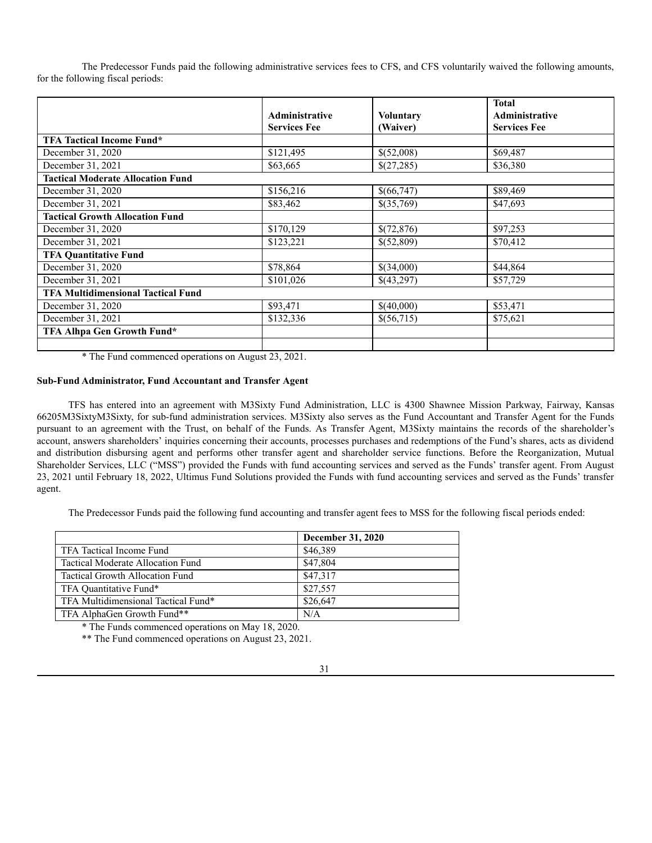The Predecessor Funds paid the following administrative services fees to CFS, and CFS voluntarily waived the following amounts, for the following fiscal periods:

|                                           | <b>Administrative</b> |                              | <b>Total</b><br><b>Administrative</b> |
|-------------------------------------------|-----------------------|------------------------------|---------------------------------------|
|                                           | <b>Services Fee</b>   | <b>Voluntary</b><br>(Waiver) | <b>Services Fee</b>                   |
| <b>TFA Tactical Income Fund*</b>          |                       |                              |                                       |
| December 31, 2020                         | \$121,495             | \$(52,008)                   | \$69,487                              |
| December 31, 2021                         | \$63,665              | \$(27,285)                   | \$36,380                              |
| <b>Tactical Moderate Allocation Fund</b>  |                       |                              |                                       |
| December 31, 2020                         | \$156,216             | \$(66,747)                   | \$89,469                              |
| December 31, 2021                         | \$83,462              | \$(35,769)                   | \$47,693                              |
| <b>Tactical Growth Allocation Fund</b>    |                       |                              |                                       |
| December 31, 2020                         | \$170,129             | \$(72,876)                   | \$97,253                              |
| December 31, 2021                         | \$123,221             | \$(52,809)                   | \$70,412                              |
| <b>TFA Quantitative Fund</b>              |                       |                              |                                       |
| December 31, 2020                         | \$78,864              | \$(34,000)                   | \$44,864                              |
| December 31, 2021                         | \$101,026             | \$(43,297)                   | \$57,729                              |
| <b>TFA Multidimensional Tactical Fund</b> |                       |                              |                                       |
| December 31, 2020                         | \$93,471              | \$(40,000)                   | \$53,471                              |
| December 31, 2021                         | \$132,336             | \$(56,715)                   | \$75,621                              |
| TFA Alhpa Gen Growth Fund*                |                       |                              |                                       |
|                                           |                       |                              |                                       |

\* The Fund commenced operations on August 23, 2021.

# **Sub-Fund Administrator, Fund Accountant and Transfer Agent**

TFS has entered into an agreement with M3Sixty Fund Administration, LLC is 4300 Shawnee Mission Parkway, Fairway, Kansas 66205M3SixtyM3Sixty, for sub-fund administration services. M3Sixty also serves as the Fund Accountant and Transfer Agent for the Funds pursuant to an agreement with the Trust, on behalf of the Funds. As Transfer Agent, M3Sixty maintains the records of the shareholder's account, answers shareholders' inquiries concerning their accounts, processes purchases and redemptions of the Fund's shares, acts as dividend and distribution disbursing agent and performs other transfer agent and shareholder service functions. Before the Reorganization, Mutual Shareholder Services, LLC ("MSS") provided the Funds with fund accounting services and served as the Funds' transfer agent. From August 23, 2021 until February 18, 2022, Ultimus Fund Solutions provided the Funds with fund accounting services and served as the Funds' transfer agent.

The Predecessor Funds paid the following fund accounting and transfer agent fees to MSS for the following fiscal periods ended:

|                                     | December 31, 2020 |
|-------------------------------------|-------------------|
| TFA Tactical Income Fund            | \$46,389          |
| Tactical Moderate Allocation Fund   | \$47,804          |
| Tactical Growth Allocation Fund     | \$47,317          |
| TFA Quantitative Fund*              | \$27,557          |
| TFA Multidimensional Tactical Fund* | \$26,647          |
| TFA AlphaGen Growth Fund**          | N/A               |

\* The Funds commenced operations on May 18, 2020.

\*\* The Fund commenced operations on August 23, 2021.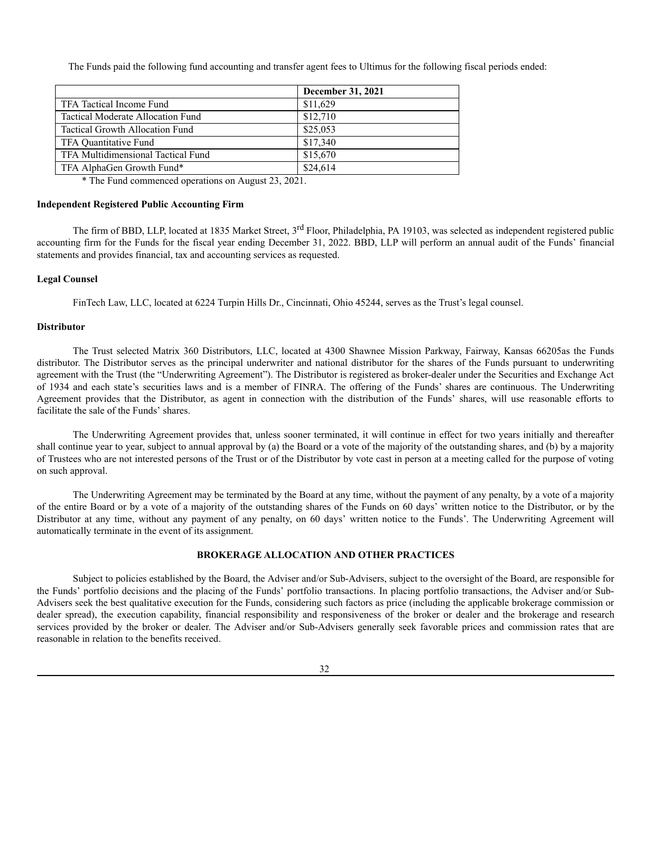The Funds paid the following fund accounting and transfer agent fees to Ultimus for the following fiscal periods ended:

|                                        | December 31, 2021 |
|----------------------------------------|-------------------|
| TFA Tactical Income Fund               | \$11,629          |
| Tactical Moderate Allocation Fund      | \$12,710          |
| <b>Tactical Growth Allocation Fund</b> | \$25,053          |
| TFA Quantitative Fund                  | \$17,340          |
| TFA Multidimensional Tactical Fund     | \$15,670          |
| TFA AlphaGen Growth Fund*              | \$24,614          |

\* The Fund commenced operations on August 23, 2021.

### **Independent Registered Public Accounting Firm**

The firm of BBD, LLP, located at 1835 Market Street, 3<sup>rd</sup> Floor, Philadelphia, PA 19103, was selected as independent registered public accounting firm for the Funds for the fiscal year ending December 31, 2022. BBD, LLP will perform an annual audit of the Funds' financial statements and provides financial, tax and accounting services as requested.

## **Legal Counsel**

FinTech Law, LLC, located at 6224 Turpin Hills Dr., Cincinnati, Ohio 45244, serves as the Trust's legal counsel.

### **Distributor**

The Trust selected Matrix 360 Distributors, LLC, located at 4300 Shawnee Mission Parkway, Fairway, Kansas 66205as the Funds distributor. The Distributor serves as the principal underwriter and national distributor for the shares of the Funds pursuant to underwriting agreement with the Trust (the "Underwriting Agreement"). The Distributor is registered as broker-dealer under the Securities and Exchange Act of 1934 and each state's securities laws and is a member of FINRA. The offering of the Funds' shares are continuous. The Underwriting Agreement provides that the Distributor, as agent in connection with the distribution of the Funds' shares, will use reasonable efforts to facilitate the sale of the Funds' shares.

The Underwriting Agreement provides that, unless sooner terminated, it will continue in effect for two years initially and thereafter shall continue year to year, subject to annual approval by (a) the Board or a vote of the majority of the outstanding shares, and (b) by a majority of Trustees who are not interested persons of the Trust or of the Distributor by vote cast in person at a meeting called for the purpose of voting on such approval.

The Underwriting Agreement may be terminated by the Board at any time, without the payment of any penalty, by a vote of a majority of the entire Board or by a vote of a majority of the outstanding shares of the Funds on 60 days' written notice to the Distributor, or by the Distributor at any time, without any payment of any penalty, on 60 days' written notice to the Funds'. The Underwriting Agreement will automatically terminate in the event of its assignment.

## **BROKERAGE ALLOCATION AND OTHER PRACTICES**

<span id="page-31-0"></span>Subject to policies established by the Board, the Adviser and/or Sub-Advisers, subject to the oversight of the Board, are responsible for the Funds' portfolio decisions and the placing of the Funds' portfolio transactions. In placing portfolio transactions, the Adviser and/or Sub-Advisers seek the best qualitative execution for the Funds, considering such factors as price (including the applicable brokerage commission or dealer spread), the execution capability, financial responsibility and responsiveness of the broker or dealer and the brokerage and research services provided by the broker or dealer. The Adviser and/or Sub-Advisers generally seek favorable prices and commission rates that are reasonable in relation to the benefits received.

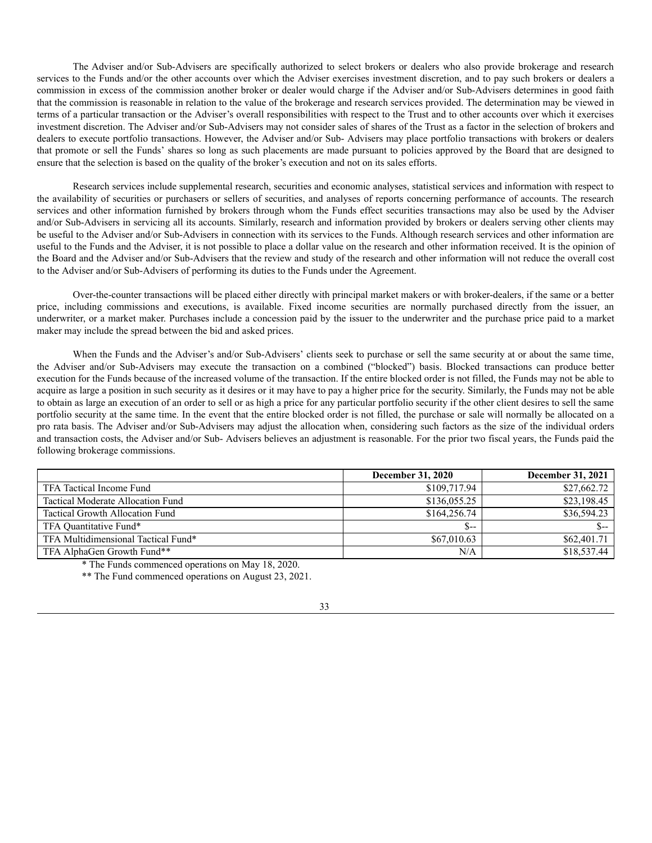The Adviser and/or Sub-Advisers are specifically authorized to select brokers or dealers who also provide brokerage and research services to the Funds and/or the other accounts over which the Adviser exercises investment discretion, and to pay such brokers or dealers a commission in excess of the commission another broker or dealer would charge if the Adviser and/or Sub-Advisers determines in good faith that the commission is reasonable in relation to the value of the brokerage and research services provided. The determination may be viewed in terms of a particular transaction or the Adviser's overall responsibilities with respect to the Trust and to other accounts over which it exercises investment discretion. The Adviser and/or Sub-Advisers may not consider sales of shares of the Trust as a factor in the selection of brokers and dealers to execute portfolio transactions. However, the Adviser and/or Sub- Advisers may place portfolio transactions with brokers or dealers that promote or sell the Funds' shares so long as such placements are made pursuant to policies approved by the Board that are designed to ensure that the selection is based on the quality of the broker's execution and not on its sales efforts.

Research services include supplemental research, securities and economic analyses, statistical services and information with respect to the availability of securities or purchasers or sellers of securities, and analyses of reports concerning performance of accounts. The research services and other information furnished by brokers through whom the Funds effect securities transactions may also be used by the Adviser and/or Sub-Advisers in servicing all its accounts. Similarly, research and information provided by brokers or dealers serving other clients may be useful to the Adviser and/or Sub-Advisers in connection with its services to the Funds. Although research services and other information are useful to the Funds and the Adviser, it is not possible to place a dollar value on the research and other information received. It is the opinion of the Board and the Adviser and/or Sub-Advisers that the review and study of the research and other information will not reduce the overall cost to the Adviser and/or Sub-Advisers of performing its duties to the Funds under the Agreement.

Over-the-counter transactions will be placed either directly with principal market makers or with broker-dealers, if the same or a better price, including commissions and executions, is available. Fixed income securities are normally purchased directly from the issuer, an underwriter, or a market maker. Purchases include a concession paid by the issuer to the underwriter and the purchase price paid to a market maker may include the spread between the bid and asked prices.

When the Funds and the Adviser's and/or Sub-Advisers' clients seek to purchase or sell the same security at or about the same time, the Adviser and/or Sub-Advisers may execute the transaction on a combined ("blocked") basis. Blocked transactions can produce better execution for the Funds because of the increased volume of the transaction. If the entire blocked order is not filled, the Funds may not be able to acquire as large a position in such security as it desires or it may have to pay a higher price for the security. Similarly, the Funds may not be able to obtain as large an execution of an order to sell or as high a price for any particular portfolio security if the other client desires to sell the same portfolio security at the same time. In the event that the entire blocked order is not filled, the purchase or sale will normally be allocated on a pro rata basis. The Adviser and/or Sub-Advisers may adjust the allocation when, considering such factors as the size of the individual orders and transaction costs, the Adviser and/or Sub- Advisers believes an adjustment is reasonable. For the prior two fiscal years, the Funds paid the following brokerage commissions.

|                                        | <b>December 31, 2020</b> | December 31, 2021 |
|----------------------------------------|--------------------------|-------------------|
| TFA Tactical Income Fund               | \$109,717.94             | \$27,662.72       |
| Tactical Moderate Allocation Fund      | \$136,055.25             | \$23,198.45       |
| <b>Tactical Growth Allocation Fund</b> | \$164,256.74             | \$36,594.23       |
| TFA Quantitative Fund*                 | $S-$                     |                   |
| TFA Multidimensional Tactical Fund*    | \$67,010.63              | \$62,401.71       |
| TFA AlphaGen Growth Fund**             | N/A                      | \$18,537.44       |

\* The Funds commenced operations on May 18, 2020.

\*\* The Fund commenced operations on August 23, 2021.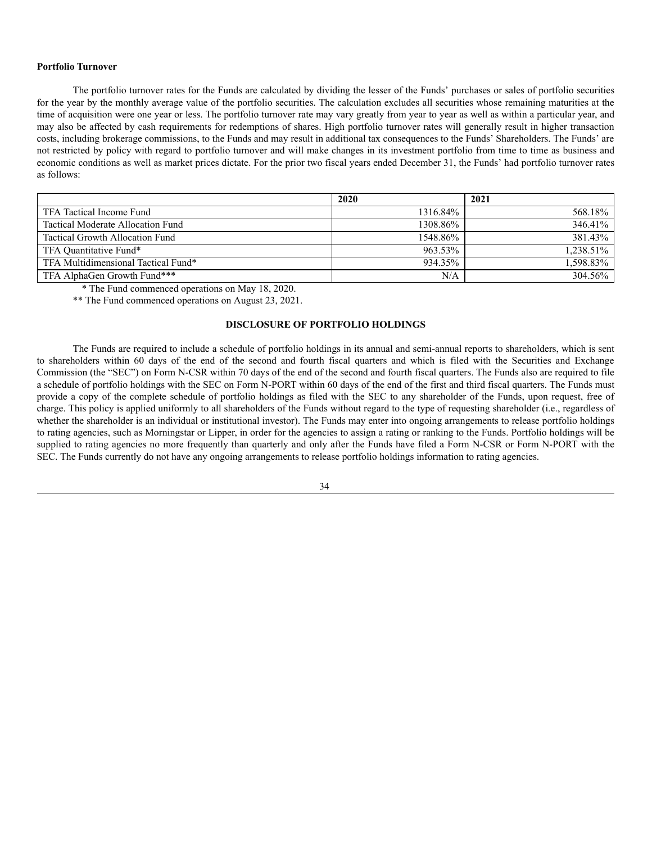### **Portfolio Turnover**

The portfolio turnover rates for the Funds are calculated by dividing the lesser of the Funds' purchases or sales of portfolio securities for the year by the monthly average value of the portfolio securities. The calculation excludes all securities whose remaining maturities at the time of acquisition were one year or less. The portfolio turnover rate may vary greatly from year to year as well as within a particular year, and may also be affected by cash requirements for redemptions of shares. High portfolio turnover rates will generally result in higher transaction costs, including brokerage commissions, to the Funds and may result in additional tax consequences to the Funds' Shareholders. The Funds' are not restricted by policy with regard to portfolio turnover and will make changes in its investment portfolio from time to time as business and economic conditions as well as market prices dictate. For the prior two fiscal years ended December 31, the Funds' had portfolio turnover rates as follows:

|                                     | 2020     | 2021      |
|-------------------------------------|----------|-----------|
| TFA Tactical Income Fund            | 1316.84% | 568.18%   |
| Tactical Moderate Allocation Fund   | 1308.86% | 346.41%   |
| Tactical Growth Allocation Fund     | 1548.86% | 381.43%   |
| TFA Quantitative Fund*              | 963.53%  | 1.238.51% |
| TFA Multidimensional Tactical Fund* | 934.35%  | 1,598.83% |
| TFA AlphaGen Growth Fund***         | N/A      | 304.56%   |

\* The Fund commenced operations on May 18, 2020.

\*\* The Fund commenced operations on August 23, 2021.

## **DISCLOSURE OF PORTFOLIO HOLDINGS**

<span id="page-33-0"></span>The Funds are required to include a schedule of portfolio holdings in its annual and semi-annual reports to shareholders, which is sent to shareholders within 60 days of the end of the second and fourth fiscal quarters and which is filed with the Securities and Exchange Commission (the "SEC") on Form N-CSR within 70 days of the end of the second and fourth fiscal quarters. The Funds also are required to file a schedule of portfolio holdings with the SEC on Form N-PORT within 60 days of the end of the first and third fiscal quarters. The Funds must provide a copy of the complete schedule of portfolio holdings as filed with the SEC to any shareholder of the Funds, upon request, free of charge. This policy is applied uniformly to all shareholders of the Funds without regard to the type of requesting shareholder (i.e., regardless of whether the shareholder is an individual or institutional investor). The Funds may enter into ongoing arrangements to release portfolio holdings to rating agencies, such as Morningstar or Lipper, in order for the agencies to assign a rating or ranking to the Funds. Portfolio holdings will be supplied to rating agencies no more frequently than quarterly and only after the Funds have filed a Form N-CSR or Form N-PORT with the SEC. The Funds currently do not have any ongoing arrangements to release portfolio holdings information to rating agencies.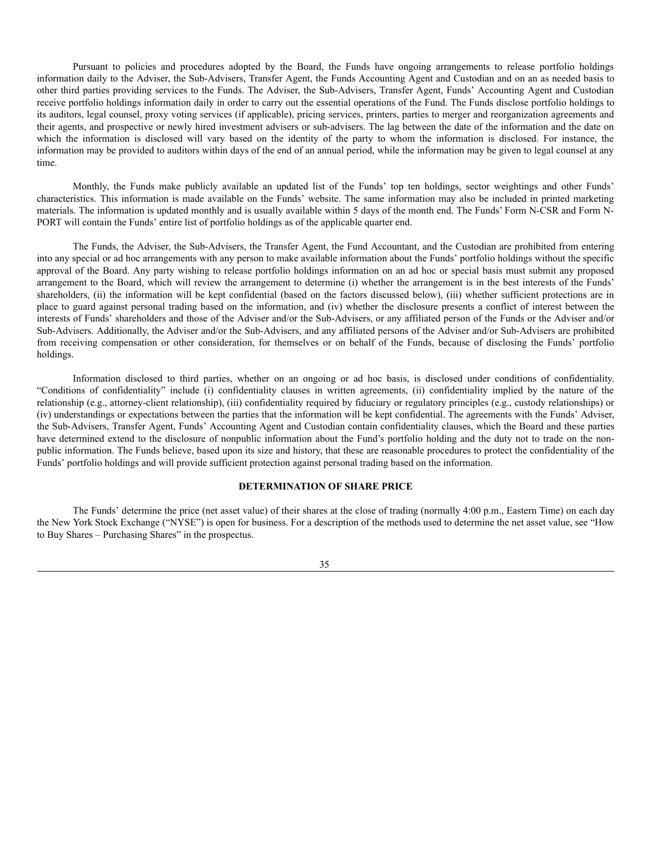Pursuant to policies and procedures adopted by the Board, the Funds have ongoing arrangements to release portfolio holdings information daily to the Adviser, the Sub-Advisers, Transfer Agent, the Funds Accounting Agent and Custodian and on an as needed basis to other third parties providing services to the Funds. The Adviser, the Sub-Advisers, Transfer Agent, Funds' Accounting Agent and Custodian receive portfolio holdings information daily in order to carry out the essential operations of the Fund. The Funds disclose portfolio holdings to its auditors, legal counsel, proxy voting services (if applicable), pricing services, printers, parties to merger and reorganization agreements and their agents, and prospective or newly hired investment advisers or sub-advisers. The lag between the date of the information and the date on which the information is disclosed will vary based on the identity of the party to whom the information is disclosed. For instance, the information may be provided to auditors within days of the end of an annual period, while the information may be given to legal counsel at any time.

Monthly, the Funds make publicly available an updated list of the Funds' top ten holdings, sector weightings and other Funds' characteristics. This information is made available on the Funds' website. The same information may also be included in printed marketing materials. The information is updated monthly and is usually available within 5 days of the month end. The Funds' Form N-CSR and Form N-PORT will contain the Funds' entire list of portfolio holdings as of the applicable quarter end.

The Funds, the Adviser, the Sub-Advisers, the Transfer Agent, the Fund Accountant, and the Custodian are prohibited from entering into any special or ad hoc arrangements with any person to make available information about the Funds' portfolio holdings without the specific approval of the Board. Any party wishing to release portfolio holdings information on an ad hoc or special basis must submit any proposed arrangement to the Board, which will review the arrangement to determine (i) whether the arrangement is in the best interests of the Funds' shareholders, (ii) the information will be kept confidential (based on the factors discussed below), (iii) whether sufficient protections are in place to guard against personal trading based on the information, and (iv) whether the disclosure presents a conflict of interest between the interests of Funds' shareholders and those of the Adviser and/or the Sub-Advisers, or any affiliated person of the Funds or the Adviser and/or Sub-Advisers. Additionally, the Adviser and/or the Sub-Advisers, and any affiliated persons of the Adviser and/or Sub-Advisers are prohibited from receiving compensation or other consideration, for themselves or on behalf of the Funds, because of disclosing the Funds' portfolio holdings.

Information disclosed to third parties, whether on an ongoing or ad hoc basis, is disclosed under conditions of confidentiality. "Conditions of confidentiality" include (i) confidentiality clauses in written agreements, (ii) confidentiality implied by the nature of the relationship (e.g., attorney-client relationship), (iii) confidentiality required by fiduciary or regulatory principles (e.g., custody relationships) or (iv) understandings or expectations between the parties that the information will be kept confidential. The agreements with the Funds' Adviser, the Sub-Advisers, Transfer Agent, Funds' Accounting Agent and Custodian contain confidentiality clauses, which the Board and these parties have determined extend to the disclosure of nonpublic information about the Fund's portfolio holding and the duty not to trade on the nonpublic information. The Funds believe, based upon its size and history, that these are reasonable procedures to protect the confidentiality of the Funds' portfolio holdings and will provide sufficient protection against personal trading based on the information.

# **DETERMINATION OF SHARE PRICE**

<span id="page-34-0"></span>The Funds' determine the price (net asset value) of their shares at the close of trading (normally 4:00 p.m., Eastern Time) on each day the New York Stock Exchange ("NYSE") is open for business. For a description of the methods used to determine the net asset value, see "How to Buy Shares – Purchasing Shares" in the prospectus.

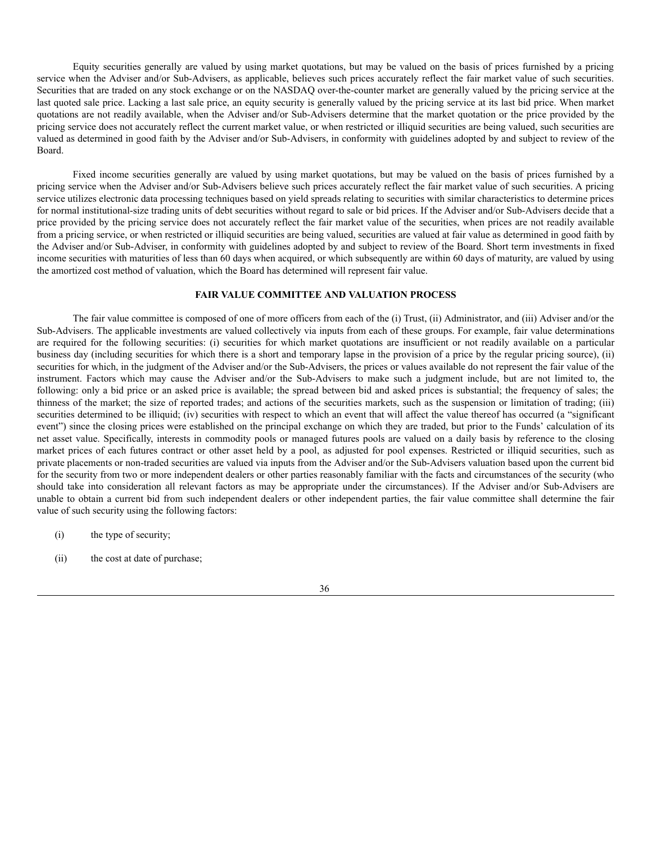Equity securities generally are valued by using market quotations, but may be valued on the basis of prices furnished by a pricing service when the Adviser and/or Sub-Advisers, as applicable, believes such prices accurately reflect the fair market value of such securities. Securities that are traded on any stock exchange or on the NASDAQ over-the-counter market are generally valued by the pricing service at the last quoted sale price. Lacking a last sale price, an equity security is generally valued by the pricing service at its last bid price. When market quotations are not readily available, when the Adviser and/or Sub-Advisers determine that the market quotation or the price provided by the pricing service does not accurately reflect the current market value, or when restricted or illiquid securities are being valued, such securities are valued as determined in good faith by the Adviser and/or Sub-Advisers, in conformity with guidelines adopted by and subject to review of the Board.

Fixed income securities generally are valued by using market quotations, but may be valued on the basis of prices furnished by a pricing service when the Adviser and/or Sub-Advisers believe such prices accurately reflect the fair market value of such securities. A pricing service utilizes electronic data processing techniques based on yield spreads relating to securities with similar characteristics to determine prices for normal institutional-size trading units of debt securities without regard to sale or bid prices. If the Adviser and/or Sub-Advisers decide that a price provided by the pricing service does not accurately reflect the fair market value of the securities, when prices are not readily available from a pricing service, or when restricted or illiquid securities are being valued, securities are valued at fair value as determined in good faith by the Adviser and/or Sub-Adviser, in conformity with guidelines adopted by and subject to review of the Board. Short term investments in fixed income securities with maturities of less than 60 days when acquired, or which subsequently are within 60 days of maturity, are valued by using the amortized cost method of valuation, which the Board has determined will represent fair value.

## **FAIR VALUE COMMITTEE AND VALUATION PROCESS**

<span id="page-35-0"></span>The fair value committee is composed of one of more officers from each of the (i) Trust, (ii) Administrator, and (iii) Adviser and/or the Sub-Advisers. The applicable investments are valued collectively via inputs from each of these groups. For example, fair value determinations are required for the following securities: (i) securities for which market quotations are insufficient or not readily available on a particular business day (including securities for which there is a short and temporary lapse in the provision of a price by the regular pricing source), (ii) securities for which, in the judgment of the Adviser and/or the Sub-Advisers, the prices or values available do not represent the fair value of the instrument. Factors which may cause the Adviser and/or the Sub-Advisers to make such a judgment include, but are not limited to, the following: only a bid price or an asked price is available; the spread between bid and asked prices is substantial; the frequency of sales; the thinness of the market; the size of reported trades; and actions of the securities markets, such as the suspension or limitation of trading; (iii) securities determined to be illiquid; (iv) securities with respect to which an event that will affect the value thereof has occurred (a "significant event") since the closing prices were established on the principal exchange on which they are traded, but prior to the Funds' calculation of its net asset value. Specifically, interests in commodity pools or managed futures pools are valued on a daily basis by reference to the closing market prices of each futures contract or other asset held by a pool, as adjusted for pool expenses. Restricted or illiquid securities, such as private placements or non-traded securities are valued via inputs from the Adviser and/or the Sub-Advisers valuation based upon the current bid for the security from two or more independent dealers or other parties reasonably familiar with the facts and circumstances of the security (who should take into consideration all relevant factors as may be appropriate under the circumstances). If the Adviser and/or Sub-Advisers are unable to obtain a current bid from such independent dealers or other independent parties, the fair value committee shall determine the fair value of such security using the following factors:

- (i) the type of security;
- (ii) the cost at date of purchase;

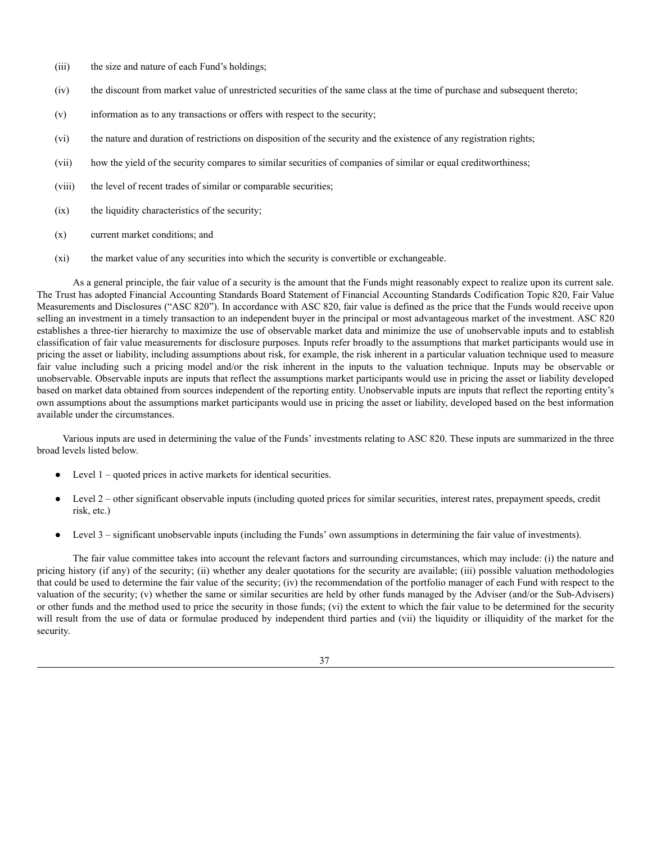- (iii) the size and nature of each Fund's holdings;
- (iv) the discount from market value of unrestricted securities of the same class at the time of purchase and subsequent thereto;
- (v) information as to any transactions or offers with respect to the security;
- (vi) the nature and duration of restrictions on disposition of the security and the existence of any registration rights;
- (vii) how the yield of the security compares to similar securities of companies of similar or equal creditworthiness;
- (viii) the level of recent trades of similar or comparable securities;
- $(ix)$  the liquidity characteristics of the security;
- (x) current market conditions; and
- (xi) the market value of any securities into which the security is convertible or exchangeable.

As a general principle, the fair value of a security is the amount that the Funds might reasonably expect to realize upon its current sale. The Trust has adopted Financial Accounting Standards Board Statement of Financial Accounting Standards Codification Topic 820, Fair Value Measurements and Disclosures ("ASC 820"). In accordance with ASC 820, fair value is defined as the price that the Funds would receive upon selling an investment in a timely transaction to an independent buyer in the principal or most advantageous market of the investment. ASC 820 establishes a three-tier hierarchy to maximize the use of observable market data and minimize the use of unobservable inputs and to establish classification of fair value measurements for disclosure purposes. Inputs refer broadly to the assumptions that market participants would use in pricing the asset or liability, including assumptions about risk, for example, the risk inherent in a particular valuation technique used to measure fair value including such a pricing model and/or the risk inherent in the inputs to the valuation technique. Inputs may be observable or unobservable. Observable inputs are inputs that reflect the assumptions market participants would use in pricing the asset or liability developed based on market data obtained from sources independent of the reporting entity. Unobservable inputs are inputs that reflect the reporting entity's own assumptions about the assumptions market participants would use in pricing the asset or liability, developed based on the best information available under the circumstances.

Various inputs are used in determining the value of the Funds' investments relating to ASC 820. These inputs are summarized in the three broad levels listed below.

- Level  $1$  quoted prices in active markets for identical securities.
- Level 2 other significant observable inputs (including quoted prices for similar securities, interest rates, prepayment speeds, credit risk, etc.)
- Level 3 significant unobservable inputs (including the Funds' own assumptions in determining the fair value of investments).

The fair value committee takes into account the relevant factors and surrounding circumstances, which may include: (i) the nature and pricing history (if any) of the security; (ii) whether any dealer quotations for the security are available; (iii) possible valuation methodologies that could be used to determine the fair value of the security; (iv) the recommendation of the portfolio manager of each Fund with respect to the valuation of the security; (v) whether the same or similar securities are held by other funds managed by the Adviser (and/or the Sub-Advisers) or other funds and the method used to price the security in those funds; (vi) the extent to which the fair value to be determined for the security will result from the use of data or formulae produced by independent third parties and (vii) the liquidity or illiquidity of the market for the security.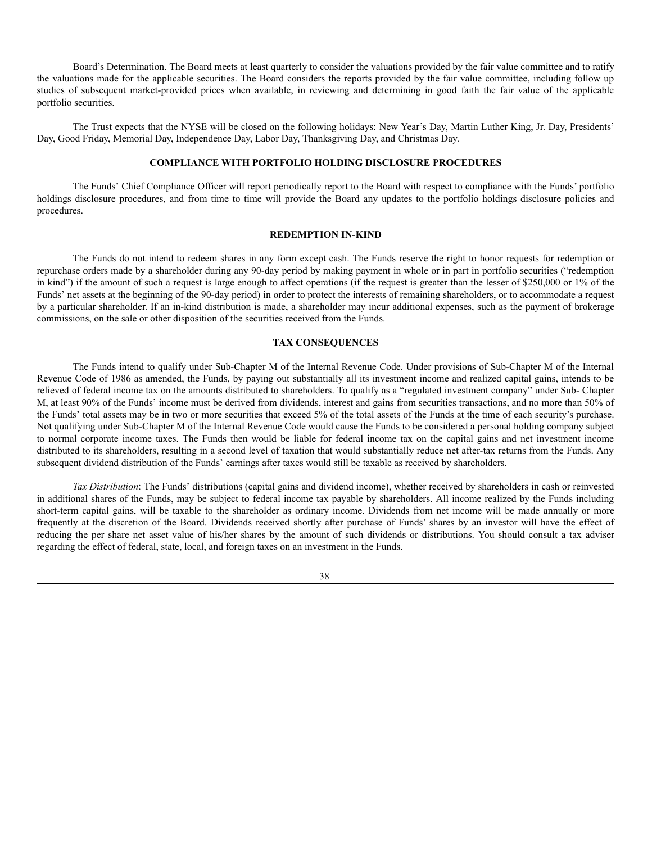Board's Determination. The Board meets at least quarterly to consider the valuations provided by the fair value committee and to ratify the valuations made for the applicable securities. The Board considers the reports provided by the fair value committee, including follow up studies of subsequent market-provided prices when available, in reviewing and determining in good faith the fair value of the applicable portfolio securities.

The Trust expects that the NYSE will be closed on the following holidays: New Year's Day, Martin Luther King, Jr. Day, Presidents' Day, Good Friday, Memorial Day, Independence Day, Labor Day, Thanksgiving Day, and Christmas Day.

## **COMPLIANCE WITH PORTFOLIO HOLDING DISCLOSURE PROCEDURES**

<span id="page-37-0"></span>The Funds' Chief Compliance Officer will report periodically report to the Board with respect to compliance with the Funds' portfolio holdings disclosure procedures, and from time to time will provide the Board any updates to the portfolio holdings disclosure policies and procedures.

## **REDEMPTION IN-KIND**

<span id="page-37-1"></span>The Funds do not intend to redeem shares in any form except cash. The Funds reserve the right to honor requests for redemption or repurchase orders made by a shareholder during any 90-day period by making payment in whole or in part in portfolio securities ("redemption in kind") if the amount of such a request is large enough to affect operations (if the request is greater than the lesser of \$250,000 or 1% of the Funds' net assets at the beginning of the 90-day period) in order to protect the interests of remaining shareholders, or to accommodate a request by a particular shareholder. If an in-kind distribution is made, a shareholder may incur additional expenses, such as the payment of brokerage commissions, on the sale or other disposition of the securities received from the Funds.

## **TAX CONSEQUENCES**

<span id="page-37-2"></span>The Funds intend to qualify under Sub-Chapter M of the Internal Revenue Code. Under provisions of Sub-Chapter M of the Internal Revenue Code of 1986 as amended, the Funds, by paying out substantially all its investment income and realized capital gains, intends to be relieved of federal income tax on the amounts distributed to shareholders. To qualify as a "regulated investment company" under Sub- Chapter M, at least 90% of the Funds' income must be derived from dividends, interest and gains from securities transactions, and no more than 50% of the Funds' total assets may be in two or more securities that exceed 5% of the total assets of the Funds at the time of each security's purchase. Not qualifying under Sub-Chapter M of the Internal Revenue Code would cause the Funds to be considered a personal holding company subject to normal corporate income taxes. The Funds then would be liable for federal income tax on the capital gains and net investment income distributed to its shareholders, resulting in a second level of taxation that would substantially reduce net after-tax returns from the Funds. Any subsequent dividend distribution of the Funds' earnings after taxes would still be taxable as received by shareholders.

*Tax Distribution*: The Funds' distributions (capital gains and dividend income), whether received by shareholders in cash or reinvested in additional shares of the Funds, may be subject to federal income tax payable by shareholders. All income realized by the Funds including short-term capital gains, will be taxable to the shareholder as ordinary income. Dividends from net income will be made annually or more frequently at the discretion of the Board. Dividends received shortly after purchase of Funds' shares by an investor will have the effect of reducing the per share net asset value of his/her shares by the amount of such dividends or distributions. You should consult a tax adviser regarding the effect of federal, state, local, and foreign taxes on an investment in the Funds.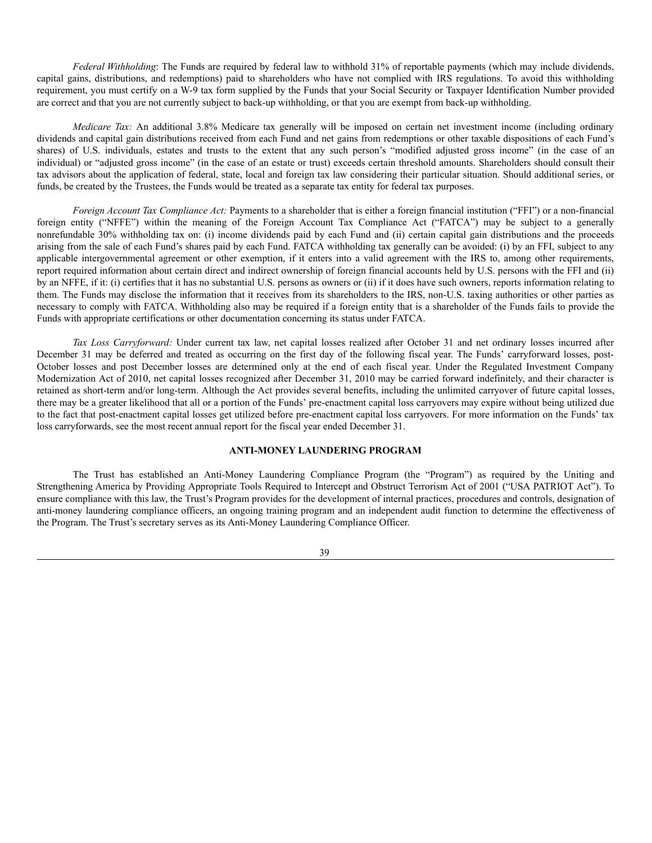*Federal Withholding*: The Funds are required by federal law to withhold 31% of reportable payments (which may include dividends, capital gains, distributions, and redemptions) paid to shareholders who have not complied with IRS regulations. To avoid this withholding requirement, you must certify on a W-9 tax form supplied by the Funds that your Social Security or Taxpayer Identification Number provided are correct and that you are not currently subject to back-up withholding, or that you are exempt from back-up withholding.

*Medicare Tax:* An additional 3.8% Medicare tax generally will be imposed on certain net investment income (including ordinary dividends and capital gain distributions received from each Fund and net gains from redemptions or other taxable dispositions of each Fund's shares) of U.S. individuals, estates and trusts to the extent that any such person's "modified adjusted gross income" (in the case of an individual) or "adjusted gross income" (in the case of an estate or trust) exceeds certain threshold amounts. Shareholders should consult their tax advisors about the application of federal, state, local and foreign tax law considering their particular situation. Should additional series, or funds, be created by the Trustees, the Funds would be treated as a separate tax entity for federal tax purposes.

*Foreign Account Tax Compliance Act:* Payments to a shareholder that is either a foreign financial institution ("FFI") or a non-financial foreign entity ("NFFE") within the meaning of the Foreign Account Tax Compliance Act ("FATCA") may be subject to a generally nonrefundable 30% withholding tax on: (i) income dividends paid by each Fund and (ii) certain capital gain distributions and the proceeds arising from the sale of each Fund's shares paid by each Fund. FATCA withholding tax generally can be avoided: (i) by an FFI, subject to any applicable intergovernmental agreement or other exemption, if it enters into a valid agreement with the IRS to, among other requirements, report required information about certain direct and indirect ownership of foreign financial accounts held by U.S. persons with the FFI and (ii) by an NFFE, if it: (i) certifies that it has no substantial U.S. persons as owners or (ii) if it does have such owners, reports information relating to them. The Funds may disclose the information that it receives from its shareholders to the IRS, non-U.S. taxing authorities or other parties as necessary to comply with FATCA. Withholding also may be required if a foreign entity that is a shareholder of the Funds fails to provide the Funds with appropriate certifications or other documentation concerning its status under FATCA.

*Tax Loss Carryforward:* Under current tax law, net capital losses realized after October 31 and net ordinary losses incurred after December 31 may be deferred and treated as occurring on the first day of the following fiscal year. The Funds' carryforward losses, post-October losses and post December losses are determined only at the end of each fiscal year. Under the Regulated Investment Company Modernization Act of 2010, net capital losses recognized after December 31, 2010 may be carried forward indefinitely, and their character is retained as short-term and/or long-term. Although the Act provides several benefits, including the unlimited carryover of future capital losses, there may be a greater likelihood that all or a portion of the Funds' pre-enactment capital loss carryovers may expire without being utilized due to the fact that post-enactment capital losses get utilized before pre-enactment capital loss carryovers. For more information on the Funds' tax loss carryforwards, see the most recent annual report for the fiscal year ended December 31.

# **ANTI-MONEY LAUNDERING PROGRAM**

<span id="page-38-0"></span>The Trust has established an Anti-Money Laundering Compliance Program (the "Program") as required by the Uniting and Strengthening America by Providing Appropriate Tools Required to Intercept and Obstruct Terrorism Act of 2001 ("USA PATRIOT Act"). To ensure compliance with this law, the Trust's Program provides for the development of internal practices, procedures and controls, designation of anti-money laundering compliance officers, an ongoing training program and an independent audit function to determine the effectiveness of the Program. The Trust's secretary serves as its Anti-Money Laundering Compliance Officer.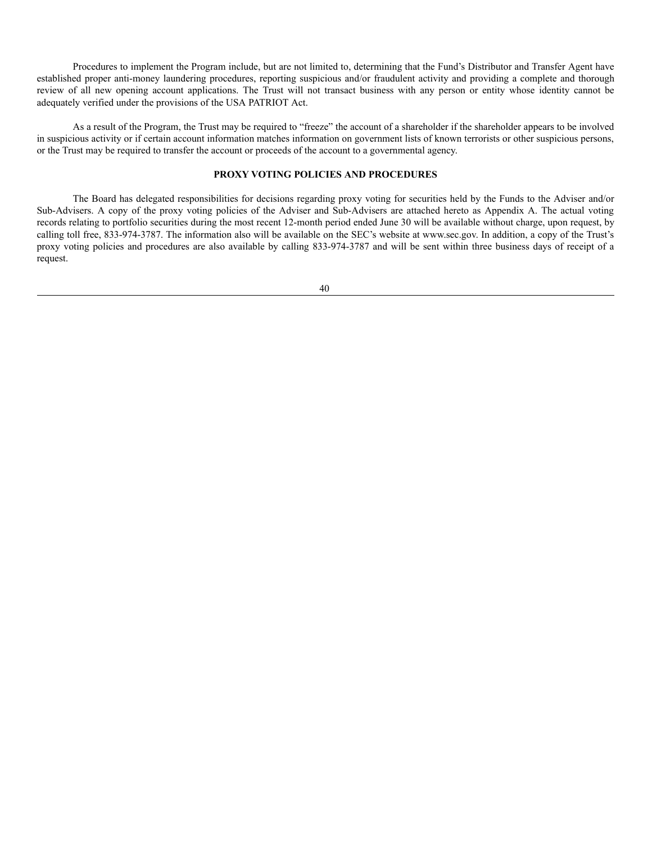Procedures to implement the Program include, but are not limited to, determining that the Fund's Distributor and Transfer Agent have established proper anti-money laundering procedures, reporting suspicious and/or fraudulent activity and providing a complete and thorough review of all new opening account applications. The Trust will not transact business with any person or entity whose identity cannot be adequately verified under the provisions of the USA PATRIOT Act.

As a result of the Program, the Trust may be required to "freeze" the account of a shareholder if the shareholder appears to be involved in suspicious activity or if certain account information matches information on government lists of known terrorists or other suspicious persons, or the Trust may be required to transfer the account or proceeds of the account to a governmental agency.

# **PROXY VOTING POLICIES AND PROCEDURES**

<span id="page-39-0"></span>The Board has delegated responsibilities for decisions regarding proxy voting for securities held by the Funds to the Adviser and/or Sub-Advisers. A copy of the proxy voting policies of the Adviser and Sub-Advisers are attached hereto as Appendix A. The actual voting records relating to portfolio securities during the most recent 12-month period ended June 30 will be available without charge, upon request, by calling toll free, 833-974-3787. The information also will be available on the SEC's website at www.sec.gov. In addition, a copy of the Trust's proxy voting policies and procedures are also available by calling 833-974-3787 and will be sent within three business days of receipt of a request.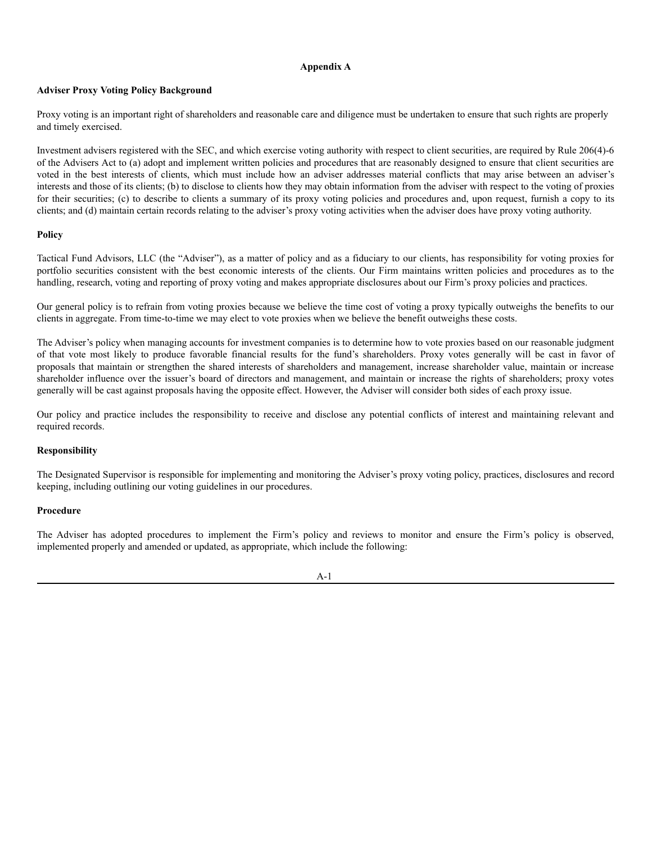## **Appendix A**

# <span id="page-40-0"></span>**Adviser Proxy Voting Policy Background**

Proxy voting is an important right of shareholders and reasonable care and diligence must be undertaken to ensure that such rights are properly and timely exercised.

Investment advisers registered with the SEC, and which exercise voting authority with respect to client securities, are required by Rule 206(4)-6 of the Advisers Act to (a) adopt and implement written policies and procedures that are reasonably designed to ensure that client securities are voted in the best interests of clients, which must include how an adviser addresses material conflicts that may arise between an adviser's interests and those of its clients; (b) to disclose to clients how they may obtain information from the adviser with respect to the voting of proxies for their securities; (c) to describe to clients a summary of its proxy voting policies and procedures and, upon request, furnish a copy to its clients; and (d) maintain certain records relating to the adviser's proxy voting activities when the adviser does have proxy voting authority.

# **Policy**

Tactical Fund Advisors, LLC (the "Adviser"), as a matter of policy and as a fiduciary to our clients, has responsibility for voting proxies for portfolio securities consistent with the best economic interests of the clients. Our Firm maintains written policies and procedures as to the handling, research, voting and reporting of proxy voting and makes appropriate disclosures about our Firm's proxy policies and practices.

Our general policy is to refrain from voting proxies because we believe the time cost of voting a proxy typically outweighs the benefits to our clients in aggregate. From time-to-time we may elect to vote proxies when we believe the benefit outweighs these costs.

The Adviser's policy when managing accounts for investment companies is to determine how to vote proxies based on our reasonable judgment of that vote most likely to produce favorable financial results for the fund's shareholders. Proxy votes generally will be cast in favor of proposals that maintain or strengthen the shared interests of shareholders and management, increase shareholder value, maintain or increase shareholder influence over the issuer's board of directors and management, and maintain or increase the rights of shareholders; proxy votes generally will be cast against proposals having the opposite effect. However, the Adviser will consider both sides of each proxy issue.

Our policy and practice includes the responsibility to receive and disclose any potential conflicts of interest and maintaining relevant and required records.

# **Responsibility**

The Designated Supervisor is responsible for implementing and monitoring the Adviser's proxy voting policy, practices, disclosures and record keeping, including outlining our voting guidelines in our procedures.

# **Procedure**

The Adviser has adopted procedures to implement the Firm's policy and reviews to monitor and ensure the Firm's policy is observed, implemented properly and amended or updated, as appropriate, which include the following: